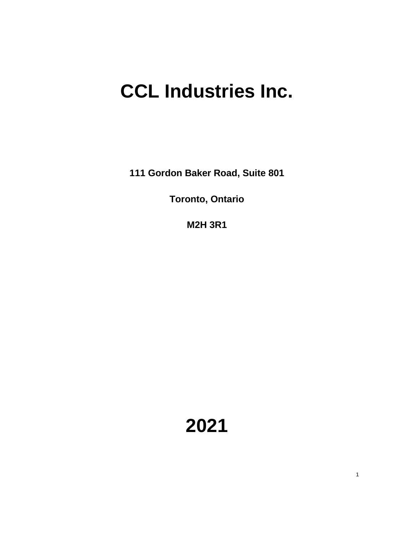## **CCL Industries Inc.**

**111 Gordon Baker Road, Suite 801**

**Toronto, Ontario**

**M2H 3R1**

**2021**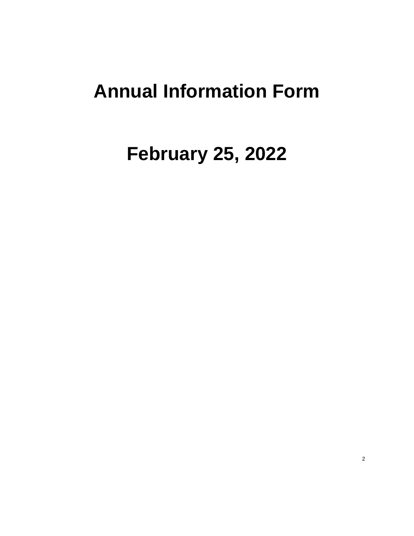## **Annual Information Form**

# **February 25, 2022**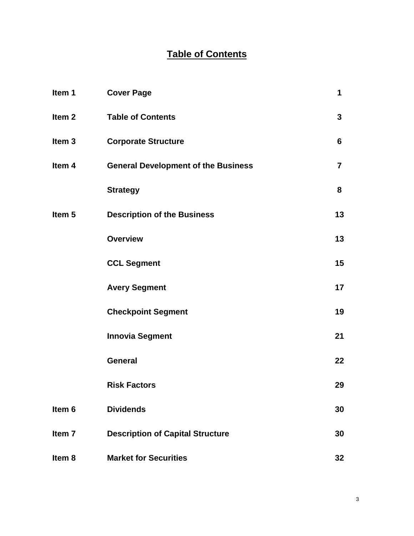### **Table of Contents**

| Item 1            | <b>Cover Page</b>                          | 1              |
|-------------------|--------------------------------------------|----------------|
| Item <sub>2</sub> | <b>Table of Contents</b>                   | 3              |
| Item <sub>3</sub> | <b>Corporate Structure</b>                 | 6              |
| Item 4            | <b>General Development of the Business</b> | $\overline{7}$ |
|                   | <b>Strategy</b>                            | 8              |
| Item <sub>5</sub> | <b>Description of the Business</b>         | 13             |
|                   | <b>Overview</b>                            | 13             |
|                   | <b>CCL Segment</b>                         | 15             |
|                   | <b>Avery Segment</b>                       | 17             |
|                   | <b>Checkpoint Segment</b>                  | 19             |
|                   | <b>Innovia Segment</b>                     | 21             |
|                   | <b>General</b>                             | 22             |
|                   | <b>Risk Factors</b>                        | 29             |
| Item <sub>6</sub> | <b>Dividends</b>                           | 30             |
| Item <sub>7</sub> | <b>Description of Capital Structure</b>    | 30             |
| Item 8            | <b>Market for Securities</b>               | 32             |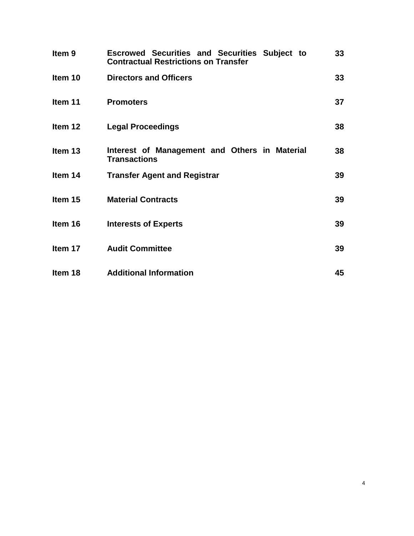| Item <sub>9</sub> | <b>Escrowed Securities and Securities Subject to</b><br><b>Contractual Restrictions on Transfer</b> | 33 |
|-------------------|-----------------------------------------------------------------------------------------------------|----|
| Item 10           | <b>Directors and Officers</b>                                                                       | 33 |
| Item 11           | <b>Promoters</b>                                                                                    | 37 |
| Item 12           | <b>Legal Proceedings</b>                                                                            | 38 |
| Item 13           | Interest of Management and Others in Material<br><b>Transactions</b>                                | 38 |
| Item 14           | <b>Transfer Agent and Registrar</b>                                                                 | 39 |
| Item 15           | <b>Material Contracts</b>                                                                           | 39 |
| Item 16           | <b>Interests of Experts</b>                                                                         | 39 |
| Item 17           | <b>Audit Committee</b>                                                                              | 39 |
| Item 18           | <b>Additional Information</b>                                                                       | 45 |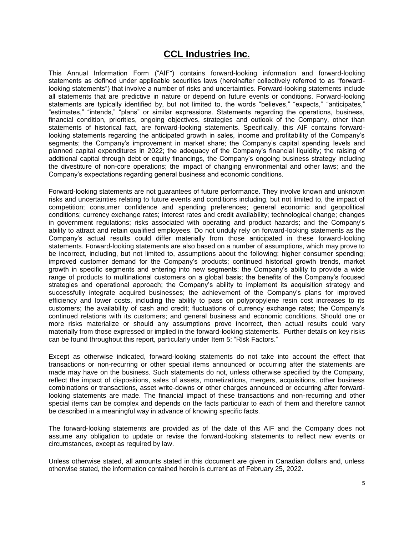### **CCL Industries Inc.**

This Annual Information Form ("AIF") contains forward-looking information and forward-looking statements as defined under applicable securities laws (hereinafter collectively referred to as "forwardlooking statements") that involve a number of risks and uncertainties. Forward-looking statements include all statements that are predictive in nature or depend on future events or conditions. Forward-looking statements are typically identified by, but not limited to, the words "believes," "expects," "anticipates," "estimates," "intends," "plans" or similar expressions. Statements regarding the operations, business, financial condition, priorities, ongoing objectives, strategies and outlook of the Company, other than statements of historical fact, are forward-looking statements. Specifically, this AIF contains forwardlooking statements regarding the anticipated growth in sales, income and profitability of the Company's segments; the Company's improvement in market share; the Company's capital spending levels and planned capital expenditures in 2022; the adequacy of the Company's financial liquidity; the raising of additional capital through debt or equity financings, the Company's ongoing business strategy including the divestiture of non-core operations; the impact of changing environmental and other laws; and the Company's expectations regarding general business and economic conditions.

Forward-looking statements are not guarantees of future performance. They involve known and unknown risks and uncertainties relating to future events and conditions including, but not limited to, the impact of competition; consumer confidence and spending preferences; general economic and geopolitical conditions; currency exchange rates; interest rates and credit availability; technological change; changes in government regulations; risks associated with operating and product hazards; and the Company's ability to attract and retain qualified employees. Do not unduly rely on forward-looking statements as the Company's actual results could differ materially from those anticipated in these forward-looking statements. Forward-looking statements are also based on a number of assumptions, which may prove to be incorrect, including, but not limited to, assumptions about the following: higher consumer spending; improved customer demand for the Company's products; continued historical growth trends, market growth in specific segments and entering into new segments; the Company's ability to provide a wide range of products to multinational customers on a global basis; the benefits of the Company's focused strategies and operational approach; the Company's ability to implement its acquisition strategy and successfully integrate acquired businesses; the achievement of the Company's plans for improved efficiency and lower costs, including the ability to pass on polypropylene resin cost increases to its customers; the availability of cash and credit; fluctuations of currency exchange rates; the Company's continued relations with its customers; and general business and economic conditions. Should one or more risks materialize or should any assumptions prove incorrect, then actual results could vary materially from those expressed or implied in the forward-looking statements. Further details on key risks can be found throughout this report, particularly under Item 5: "Risk Factors."

Except as otherwise indicated, forward-looking statements do not take into account the effect that transactions or non-recurring or other special items announced or occurring after the statements are made may have on the business. Such statements do not, unless otherwise specified by the Company, reflect the impact of dispositions, sales of assets, monetizations, mergers, acquisitions, other business combinations or transactions, asset write-downs or other charges announced or occurring after forwardlooking statements are made. The financial impact of these transactions and non-recurring and other special items can be complex and depends on the facts particular to each of them and therefore cannot be described in a meaningful way in advance of knowing specific facts.

The forward-looking statements are provided as of the date of this AIF and the Company does not assume any obligation to update or revise the forward-looking statements to reflect new events or circumstances, except as required by law.

Unless otherwise stated, all amounts stated in this document are given in Canadian dollars and, unless otherwise stated, the information contained herein is current as of February 25, 2022.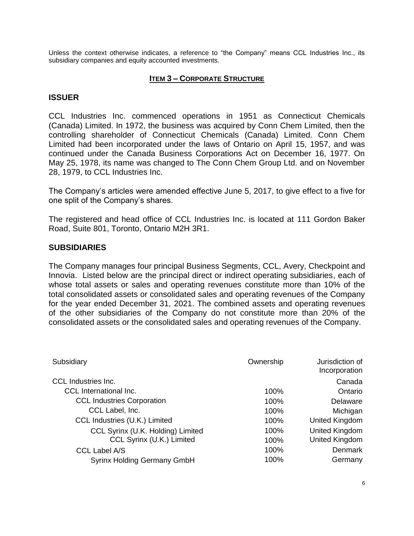Unless the context otherwise indicates, a reference to "the Company" means CCL Industries Inc., its subsidiary companies and equity accounted investments.

#### **ITEM 3 – CORPORATE STRUCTURE**

#### **ISSUER**

CCL Industries Inc. commenced operations in 1951 as Connecticut Chemicals (Canada) Limited. In 1972, the business was acquired by Conn Chem Limited, then the controlling shareholder of Connecticut Chemicals (Canada) Limited. Conn Chem Limited had been incorporated under the laws of Ontario on April 15, 1957, and was continued under the Canada Business Corporations Act on December 16, 1977. On May 25, 1978, its name was changed to The Conn Chem Group Ltd. and on November 28, 1979, to CCL Industries Inc.

The Company's articles were amended effective June 5, 2017, to give effect to a five for one split of the Company's shares.

The registered and head office of CCL Industries Inc. is located at 111 Gordon Baker Road, Suite 801, Toronto, Ontario M2H 3R1.

#### **SUBSIDIARIES**

The Company manages four principal Business Segments, CCL, Avery, Checkpoint and Innovia. Listed below are the principal direct or indirect operating subsidiaries, each of whose total assets or sales and operating revenues constitute more than 10% of the total consolidated assets or consolidated sales and operating revenues of the Company for the year ended December 31, 2021. The combined assets and operating revenues of the other subsidiaries of the Company do not constitute more than 20% of the consolidated assets or the consolidated sales and operating revenues of the Company.

| Subsidiary                         | Ownership | Jurisdiction of<br>Incorporation |
|------------------------------------|-----------|----------------------------------|
| <b>CCL Industries Inc.</b>         |           | Canada                           |
| <b>CCL</b> International Inc.      | 100%      | Ontario                          |
| <b>CCL Industries Corporation</b>  | 100%      | Delaware                         |
| CCL Label, Inc.                    | 100%      | Michigan                         |
| CCL Industries (U.K.) Limited      | 100%      | United Kingdom                   |
| CCL Syrinx (U.K. Holding) Limited  | 100%      | United Kingdom                   |
| CCL Syrinx (U.K.) Limited          | 100%      | United Kingdom                   |
| <b>CCL Label A/S</b>               | 100%      | <b>Denmark</b>                   |
| <b>Syrinx Holding Germany GmbH</b> | 100%      | Germany                          |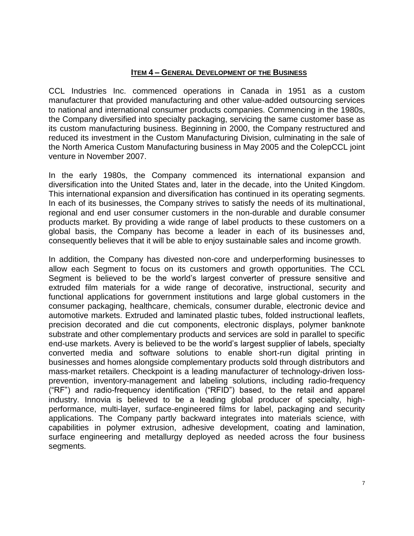#### **ITEM 4 – GENERAL DEVELOPMENT OF THE BUSINESS**

CCL Industries Inc. commenced operations in Canada in 1951 as a custom manufacturer that provided manufacturing and other value-added outsourcing services to national and international consumer products companies. Commencing in the 1980s, the Company diversified into specialty packaging, servicing the same customer base as its custom manufacturing business. Beginning in 2000, the Company restructured and reduced its investment in the Custom Manufacturing Division, culminating in the sale of the North America Custom Manufacturing business in May 2005 and the ColepCCL joint venture in November 2007.

In the early 1980s, the Company commenced its international expansion and diversification into the United States and, later in the decade, into the United Kingdom. This international expansion and diversification has continued in its operating segments. In each of its businesses, the Company strives to satisfy the needs of its multinational, regional and end user consumer customers in the non-durable and durable consumer products market. By providing a wide range of label products to these customers on a global basis, the Company has become a leader in each of its businesses and, consequently believes that it will be able to enjoy sustainable sales and income growth.

In addition, the Company has divested non-core and underperforming businesses to allow each Segment to focus on its customers and growth opportunities. The CCL Segment is believed to be the world's largest converter of pressure sensitive and extruded film materials for a wide range of decorative, instructional, security and functional applications for government institutions and large global customers in the consumer packaging, healthcare, chemicals, consumer durable, electronic device and automotive markets. Extruded and laminated plastic tubes, folded instructional leaflets, precision decorated and die cut components, electronic displays, polymer banknote substrate and other complementary products and services are sold in parallel to specific end-use markets. Avery is believed to be the world's largest supplier of labels, specialty converted media and software solutions to enable short-run digital printing in businesses and homes alongside complementary products sold through distributors and mass-market retailers. Checkpoint is a leading manufacturer of technology-driven lossprevention, inventory-management and labeling solutions, including radio-frequency ("RF") and radio-frequency identification ("RFID") based, to the retail and apparel industry. Innovia is believed to be a leading global producer of specialty, highperformance, multi-layer, surface-engineered films for label, packaging and security applications. The Company partly backward integrates into materials science, with capabilities in polymer extrusion, adhesive development, coating and lamination, surface engineering and metallurgy deployed as needed across the four business segments.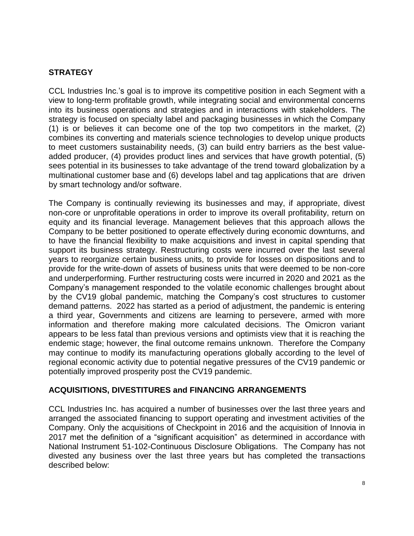### **STRATEGY**

CCL Industries Inc.'s goal is to improve its competitive position in each Segment with a view to long-term profitable growth, while integrating social and environmental concerns into its business operations and strategies and in interactions with stakeholders. The strategy is focused on specialty label and packaging businesses in which the Company (1) is or believes it can become one of the top two competitors in the market, (2) combines its converting and materials science technologies to develop unique products to meet customers sustainability needs, (3) can build entry barriers as the best valueadded producer, (4) provides product lines and services that have growth potential, (5) sees potential in its businesses to take advantage of the trend toward globalization by a multinational customer base and (6) develops label and tag applications that are driven by smart technology and/or software.

The Company is continually reviewing its businesses and may, if appropriate, divest non-core or unprofitable operations in order to improve its overall profitability, return on equity and its financial leverage. Management believes that this approach allows the Company to be better positioned to operate effectively during economic downturns, and to have the financial flexibility to make acquisitions and invest in capital spending that support its business strategy. Restructuring costs were incurred over the last several years to reorganize certain business units, to provide for losses on dispositions and to provide for the write-down of assets of business units that were deemed to be non-core and underperforming. Further restructuring costs were incurred in 2020 and 2021 as the Company's management responded to the volatile economic challenges brought about by the CV19 global pandemic, matching the Company's cost structures to customer demand patterns. 2022 has started as a period of adjustment, the pandemic is entering a third year, Governments and citizens are learning to persevere, armed with more information and therefore making more calculated decisions. The Omicron variant appears to be less fatal than previous versions and optimists view that it is reaching the endemic stage; however, the final outcome remains unknown. Therefore the Company may continue to modify its manufacturing operations globally according to the level of regional economic activity due to potential negative pressures of the CV19 pandemic or potentially improved prosperity post the CV19 pandemic.

#### **ACQUISITIONS, DIVESTITURES and FINANCING ARRANGEMENTS**

CCL Industries Inc. has acquired a number of businesses over the last three years and arranged the associated financing to support operating and investment activities of the Company. Only the acquisitions of Checkpoint in 2016 and the acquisition of Innovia in 2017 met the definition of a "significant acquisition" as determined in accordance with National Instrument 51-102-Continuous Disclosure Obligations. The Company has not divested any business over the last three years but has completed the transactions described below: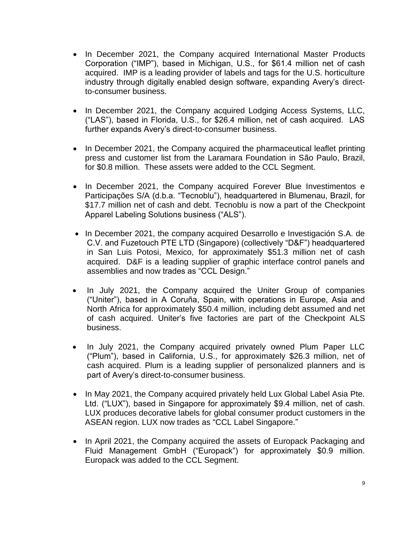- In December 2021, the Company acquired International Master Products Corporation ("IMP"), based in Michigan, U.S., for \$61.4 million net of cash acquired. IMP is a leading provider of labels and tags for the U.S. horticulture industry through digitally enabled design software, expanding Avery's directto-consumer business.
- In December 2021, the Company acquired Lodging Access Systems, LLC, ("LAS"), based in Florida, U.S., for \$26.4 million, net of cash acquired. LAS further expands Avery's direct-to-consumer business.
- In December 2021, the Company acquired the pharmaceutical leaflet printing press and customer list from the Laramara Foundation in São Paulo, Brazil, for \$0.8 million. These assets were added to the CCL Segment.
- In December 2021, the Company acquired Forever Blue Investimentos e Participações S/A (d.b.a. "Tecnoblu"), headquartered in Blumenau, Brazil, for \$17.7 million net of cash and debt. Tecnoblu is now a part of the Checkpoint Apparel Labeling Solutions business ("ALS").
- In December 2021, the company acquired Desarrollo e Investigación S.A. de C.V. and Fuzetouch PTE LTD (Singapore) (collectively "D&F") headquartered in San Luis Potosi, Mexico, for approximately \$51.3 million net of cash acquired. D&F is a leading supplier of graphic interface control panels and assemblies and now trades as "CCL Design."
- In July 2021, the Company acquired the Uniter Group of companies ("Uniter"), based in A Coruña, Spain, with operations in Europe, Asia and North Africa for approximately \$50.4 million, including debt assumed and net of cash acquired. Uniter's five factories are part of the Checkpoint ALS business.
- In July 2021, the Company acquired privately owned Plum Paper LLC ("Plum"), based in California, U.S., for approximately \$26.3 million, net of cash acquired. Plum is a leading supplier of personalized planners and is part of Avery's direct-to-consumer business.
- In May 2021, the Company acquired privately held Lux Global Label Asia Pte. Ltd. ("LUX"), based in Singapore for approximately \$9.4 million, net of cash. LUX produces decorative labels for global consumer product customers in the ASEAN region. LUX now trades as "CCL Label Singapore."
- In April 2021, the Company acquired the assets of Europack Packaging and Fluid Management GmbH ("Europack") for approximately \$0.9 million. Europack was added to the CCL Segment.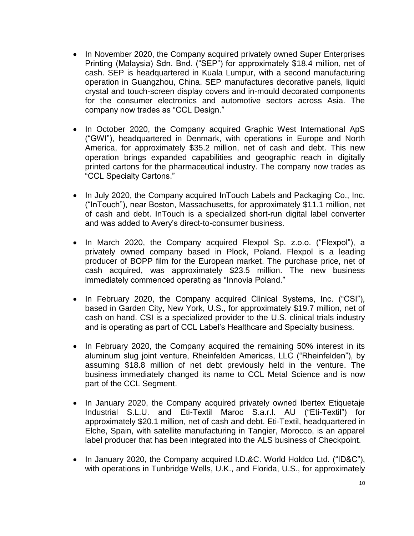- In November 2020, the Company acquired privately owned Super Enterprises Printing (Malaysia) Sdn. Bnd. ("SEP") for approximately \$18.4 million, net of cash. SEP is headquartered in Kuala Lumpur, with a second manufacturing operation in Guangzhou, China. SEP manufactures decorative panels, liquid crystal and touch-screen display covers and in-mould decorated components for the consumer electronics and automotive sectors across Asia. The company now trades as "CCL Design."
- In October 2020, the Company acquired Graphic West International ApS ("GWI"), headquartered in Denmark, with operations in Europe and North America, for approximately \$35.2 million, net of cash and debt. This new operation brings expanded capabilities and geographic reach in digitally printed cartons for the pharmaceutical industry. The company now trades as "CCL Specialty Cartons."
- In July 2020, the Company acquired InTouch Labels and Packaging Co., Inc. ("InTouch"), near Boston, Massachusetts, for approximately \$11.1 million, net of cash and debt. InTouch is a specialized short-run digital label converter and was added to Avery's direct-to-consumer business.
- In March 2020, the Company acquired Flexpol Sp. z.o.o. ("Flexpol"), a privately owned company based in Plock, Poland. Flexpol is a leading producer of BOPP film for the European market. The purchase price, net of cash acquired, was approximately \$23.5 million. The new business immediately commenced operating as "Innovia Poland."
- In February 2020, the Company acquired Clinical Systems, Inc. ("CSI"), based in Garden City, New York, U.S., for approximately \$19.7 million, net of cash on hand. CSI is a specialized provider to the U.S. clinical trials industry and is operating as part of CCL Label's Healthcare and Specialty business.
- In February 2020, the Company acquired the remaining 50% interest in its aluminum slug joint venture, Rheinfelden Americas, LLC ("Rheinfelden"), by assuming \$18.8 million of net debt previously held in the venture. The business immediately changed its name to CCL Metal Science and is now part of the CCL Segment.
- In January 2020, the Company acquired privately owned Ibertex Etiquetaje Industrial S.L.U. and Eti-Textil Maroc S.a.r.l. AU ("Eti-Textil") for approximately \$20.1 million, net of cash and debt. Eti-Textil, headquartered in Elche, Spain, with satellite manufacturing in Tangier, Morocco, is an apparel label producer that has been integrated into the ALS business of Checkpoint.
- In January 2020, the Company acquired I.D.&C. World Holdco Ltd. ("ID&C"), with operations in Tunbridge Wells, U.K., and Florida, U.S., for approximately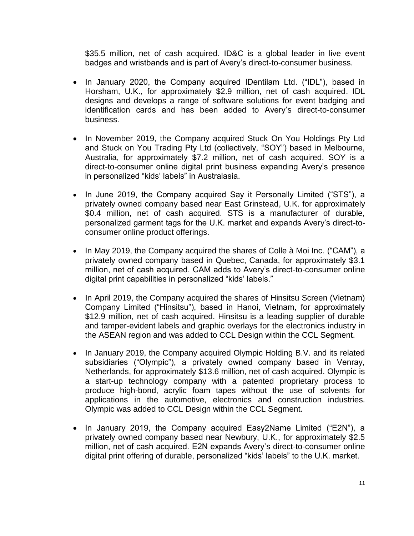\$35.5 million, net of cash acquired. ID&C is a global leader in live event badges and wristbands and is part of Avery's direct-to-consumer business.

- In January 2020, the Company acquired IDentilam Ltd. ("IDL"), based in Horsham, U.K., for approximately \$2.9 million, net of cash acquired. IDL designs and develops a range of software solutions for event badging and identification cards and has been added to Avery's direct-to-consumer business.
- In November 2019, the Company acquired Stuck On You Holdings Pty Ltd and Stuck on You Trading Pty Ltd (collectively, "SOY") based in Melbourne, Australia, for approximately \$7.2 million, net of cash acquired. SOY is a direct-to-consumer online digital print business expanding Avery's presence in personalized "kids' labels" in Australasia.
- In June 2019, the Company acquired Say it Personally Limited ("STS"), a privately owned company based near East Grinstead, U.K. for approximately \$0.4 million, net of cash acquired. STS is a manufacturer of durable, personalized garment tags for the U.K. market and expands Avery's direct-toconsumer online product offerings.
- In May 2019, the Company acquired the shares of Colle à Moi Inc. ("CAM"), a privately owned company based in Quebec, Canada, for approximately \$3.1 million, net of cash acquired. CAM adds to Avery's direct-to-consumer online digital print capabilities in personalized "kids' labels."
- In April 2019, the Company acquired the shares of Hinsitsu Screen (Vietnam) Company Limited ("Hinsitsu"), based in Hanoi, Vietnam, for approximately \$12.9 million, net of cash acquired. Hinsitsu is a leading supplier of durable and tamper-evident labels and graphic overlays for the electronics industry in the ASEAN region and was added to CCL Design within the CCL Segment.
- In January 2019, the Company acquired Olympic Holding B.V. and its related subsidiaries ("Olympic"), a privately owned company based in Venray, Netherlands, for approximately \$13.6 million, net of cash acquired. Olympic is a start-up technology company with a patented proprietary process to produce high-bond, acrylic foam tapes without the use of solvents for applications in the automotive, electronics and construction industries. Olympic was added to CCL Design within the CCL Segment.
- In January 2019, the Company acquired Easy2Name Limited ("E2N"), a privately owned company based near Newbury, U.K., for approximately \$2.5 million, net of cash acquired. E2N expands Avery's direct-to-consumer online digital print offering of durable, personalized "kids' labels" to the U.K. market.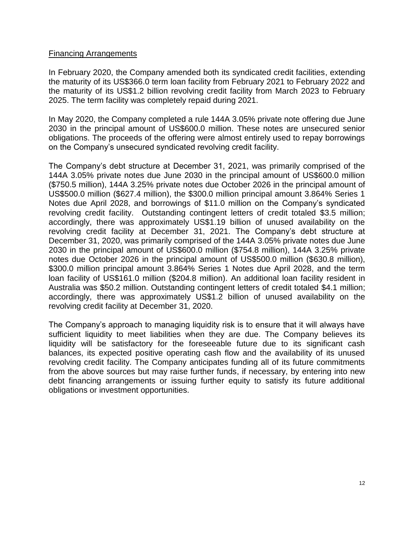#### Financing Arrangements

In February 2020, the Company amended both its syndicated credit facilities, extending the maturity of its US\$366.0 term loan facility from February 2021 to February 2022 and the maturity of its US\$1.2 billion revolving credit facility from March 2023 to February 2025. The term facility was completely repaid during 2021.

In May 2020, the Company completed a rule 144A 3.05% private note offering due June 2030 in the principal amount of US\$600.0 million. These notes are unsecured senior obligations. The proceeds of the offering were almost entirely used to repay borrowings on the Company's unsecured syndicated revolving credit facility.

The Company's debt structure at December 31, 2021, was primarily comprised of the 144A 3.05% private notes due June 2030 in the principal amount of US\$600.0 million (\$750.5 million), 144A 3.25% private notes due October 2026 in the principal amount of US\$500.0 million (\$627.4 million), the \$300.0 million principal amount 3.864% Series 1 Notes due April 2028, and borrowings of \$11.0 million on the Company's syndicated revolving credit facility. Outstanding contingent letters of credit totaled \$3.5 million; accordingly, there was approximately US\$1.19 billion of unused availability on the revolving credit facility at December 31, 2021. The Company's debt structure at December 31, 2020, was primarily comprised of the 144A 3.05% private notes due June 2030 in the principal amount of US\$600.0 million (\$754.8 million), 144A 3.25% private notes due October 2026 in the principal amount of US\$500.0 million (\$630.8 million), \$300.0 million principal amount 3.864% Series 1 Notes due April 2028, and the term loan facility of US\$161.0 million (\$204.8 million). An additional loan facility resident in Australia was \$50.2 million. Outstanding contingent letters of credit totaled \$4.1 million; accordingly, there was approximately US\$1.2 billion of unused availability on the revolving credit facility at December 31, 2020.

The Company's approach to managing liquidity risk is to ensure that it will always have sufficient liquidity to meet liabilities when they are due. The Company believes its liquidity will be satisfactory for the foreseeable future due to its significant cash balances, its expected positive operating cash flow and the availability of its unused revolving credit facility. The Company anticipates funding all of its future commitments from the above sources but may raise further funds, if necessary, by entering into new debt financing arrangements or issuing further equity to satisfy its future additional obligations or investment opportunities.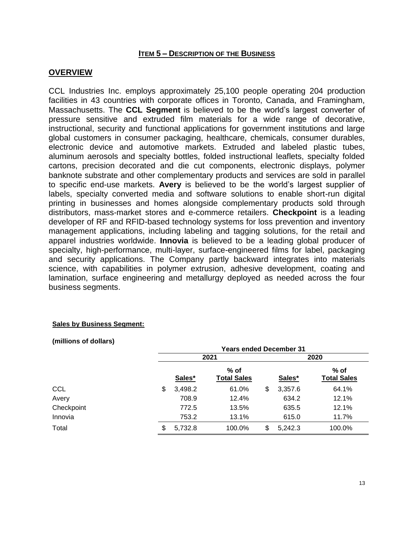#### **ITEM 5 – DESCRIPTION OF THE BUSINESS**

#### **OVERVIEW**

CCL Industries Inc. employs approximately 25,100 people operating 204 production facilities in 43 countries with corporate offices in Toronto, Canada, and Framingham, Massachusetts. The **CCL Segment** is believed to be the world's largest converter of pressure sensitive and extruded film materials for a wide range of decorative, instructional, security and functional applications for government institutions and large global customers in consumer packaging, healthcare, chemicals, consumer durables, electronic device and automotive markets. Extruded and labeled plastic tubes, aluminum aerosols and specialty bottles, folded instructional leaflets, specialty folded cartons, precision decorated and die cut components, electronic displays, polymer banknote substrate and other complementary products and services are sold in parallel to specific end-use markets. **Avery** is believed to be the world's largest supplier of labels, specialty converted media and software solutions to enable short-run digital printing in businesses and homes alongside complementary products sold through distributors, mass-market stores and e-commerce retailers. **Checkpoint** is a leading developer of RF and RFID-based technology systems for loss prevention and inventory management applications, including labeling and tagging solutions, for the retail and apparel industries worldwide. **Innovia** is believed to be a leading global producer of specialty, high-performance, multi-layer, surface-engineered films for label, packaging and security applications. The Company partly backward integrates into materials science, with capabilities in polymer extrusion, adhesive development, coating and lamination, surface engineering and metallurgy deployed as needed across the four business segments.

#### **Sales by Business Segment:**

**(millions of dollars)**

|            | <b>Years ended December 31</b> |         |                            |    |         |                              |  |
|------------|--------------------------------|---------|----------------------------|----|---------|------------------------------|--|
|            |                                |         | 2021                       |    | 2020    |                              |  |
|            |                                | Sales*  | % of<br><b>Total Sales</b> |    | Sales*  | $%$ of<br><b>Total Sales</b> |  |
| <b>CCL</b> | \$                             | 3,498.2 | 61.0%                      | \$ | 3,357.6 | 64.1%                        |  |
| Avery      |                                | 708.9   | 12.4%                      |    | 634.2   | 12.1%                        |  |
| Checkpoint |                                | 772.5   | 13.5%                      |    | 635.5   | 12.1%                        |  |
| Innovia    |                                | 753.2   | 13.1%                      |    | 615.0   | 11.7%                        |  |
| Total      | \$                             | 5,732.8 | 100.0%                     | \$ | 5,242.3 | 100.0%                       |  |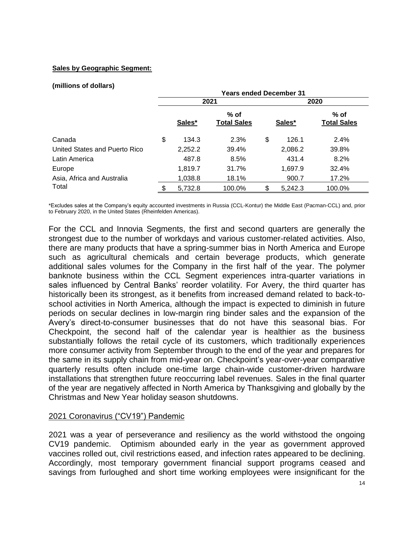#### **Sales by Geographic Segment:**

#### **(millions of dollars)**

|                               | <b>Years ended December 31</b> |         |                              |      |         |                            |  |
|-------------------------------|--------------------------------|---------|------------------------------|------|---------|----------------------------|--|
|                               |                                |         | 2021                         | 2020 |         |                            |  |
|                               |                                | Sales*  | $%$ of<br><b>Total Sales</b> |      | Sales*  | % of<br><b>Total Sales</b> |  |
| Canada                        | \$                             | 134.3   | 2.3%                         | \$   | 126.1   | 2.4%                       |  |
| United States and Puerto Rico |                                | 2,252.2 | 39.4%                        |      | 2,086.2 | 39.8%                      |  |
| Latin America                 |                                | 487.8   | 8.5%                         |      | 431.4   | 8.2%                       |  |
| Europe                        |                                | 1,819.7 | 31.7%                        |      | 1,697.9 | 32.4%                      |  |
| Asia, Africa and Australia    |                                | 1,038.8 | 18.1%                        |      | 900.7   | 17.2%                      |  |
| Total                         |                                | 5,732.8 | 100.0%                       | S    | 5,242.3 | 100.0%                     |  |

\*Excludes sales at the Company's equity accounted investments in Russia (CCL-Kontur) the Middle East (Pacman-CCL) and, prior to February 2020, in the United States (Rheinfelden Americas).

For the CCL and Innovia Segments, the first and second quarters are generally the strongest due to the number of workdays and various customer-related activities. Also, there are many products that have a spring-summer bias in North America and Europe such as agricultural chemicals and certain beverage products, which generate additional sales volumes for the Company in the first half of the year. The polymer banknote business within the CCL Segment experiences intra-quarter variations in sales influenced by Central Banks' reorder volatility. For Avery, the third quarter has historically been its strongest, as it benefits from increased demand related to back-toschool activities in North America, although the impact is expected to diminish in future periods on secular declines in low-margin ring binder sales and the expansion of the Avery's direct-to-consumer businesses that do not have this seasonal bias. For Checkpoint, the second half of the calendar year is healthier as the business substantially follows the retail cycle of its customers, which traditionally experiences more consumer activity from September through to the end of the year and prepares for the same in its supply chain from mid-year on. Checkpoint's year-over-year comparative quarterly results often include one-time large chain-wide customer-driven hardware installations that strengthen future reoccurring label revenues. Sales in the final quarter of the year are negatively affected in North America by Thanksgiving and globally by the Christmas and New Year holiday season shutdowns.

#### 2021 Coronavirus ("CV19") Pandemic

2021 was a year of perseverance and resiliency as the world withstood the ongoing CV19 pandemic. Optimism abounded early in the year as government approved vaccines rolled out, civil restrictions eased, and infection rates appeared to be declining. Accordingly, most temporary government financial support programs ceased and savings from furloughed and short time working employees were insignificant for the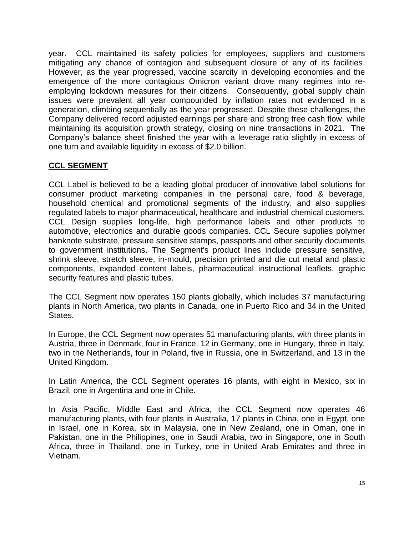year. CCL maintained its safety policies for employees, suppliers and customers mitigating any chance of contagion and subsequent closure of any of its facilities. However, as the year progressed, vaccine scarcity in developing economies and the emergence of the more contagious Omicron variant drove many regimes into reemploying lockdown measures for their citizens. Consequently, global supply chain issues were prevalent all year compounded by inflation rates not evidenced in a generation, climbing sequentially as the year progressed. Despite these challenges, the Company delivered record adjusted earnings per share and strong free cash flow, while maintaining its acquisition growth strategy, closing on nine transactions in 2021. The Company's balance sheet finished the year with a leverage ratio slightly in excess of one turn and available liquidity in excess of \$2.0 billion.

#### **CCL SEGMENT**

CCL Label is believed to be a leading global producer of innovative label solutions for consumer product marketing companies in the personal care, food & beverage, household chemical and promotional segments of the industry, and also supplies regulated labels to major pharmaceutical, healthcare and industrial chemical customers. CCL Design supplies long-life, high performance labels and other products to automotive, electronics and durable goods companies. CCL Secure supplies polymer banknote substrate, pressure sensitive stamps, passports and other security documents to government institutions. The Segment's product lines include pressure sensitive, shrink sleeve, stretch sleeve, in-mould, precision printed and die cut metal and plastic components, expanded content labels, pharmaceutical instructional leaflets, graphic security features and plastic tubes.

The CCL Segment now operates 150 plants globally, which includes 37 manufacturing plants in North America, two plants in Canada, one in Puerto Rico and 34 in the United States.

In Europe, the CCL Segment now operates 51 manufacturing plants, with three plants in Austria, three in Denmark, four in France, 12 in Germany, one in Hungary, three in Italy, two in the Netherlands, four in Poland, five in Russia, one in Switzerland, and 13 in the United Kingdom.

In Latin America, the CCL Segment operates 16 plants, with eight in Mexico, six in Brazil, one in Argentina and one in Chile.

In Asia Pacific, Middle East and Africa, the CCL Segment now operates 46 manufacturing plants, with four plants in Australia, 17 plants in China, one in Egypt, one in Israel, one in Korea, six in Malaysia, one in New Zealand, one in Oman, one in Pakistan, one in the Philippines, one in Saudi Arabia, two in Singapore, one in South Africa, three in Thailand, one in Turkey, one in United Arab Emirates and three in Vietnam.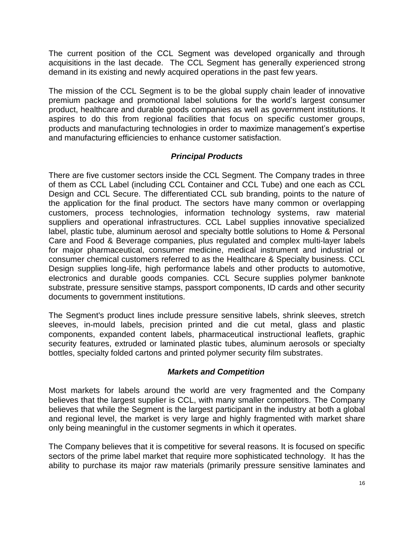The current position of the CCL Segment was developed organically and through acquisitions in the last decade. The CCL Segment has generally experienced strong demand in its existing and newly acquired operations in the past few years.

The mission of the CCL Segment is to be the global supply chain leader of innovative premium package and promotional label solutions for the world's largest consumer product, healthcare and durable goods companies as well as government institutions. It aspires to do this from regional facilities that focus on specific customer groups, products and manufacturing technologies in order to maximize management's expertise and manufacturing efficiencies to enhance customer satisfaction.

#### *Principal Products*

There are five customer sectors inside the CCL Segment. The Company trades in three of them as CCL Label (including CCL Container and CCL Tube) and one each as CCL Design and CCL Secure. The differentiated CCL sub branding, points to the nature of the application for the final product. The sectors have many common or overlapping customers, process technologies, information technology systems, raw material suppliers and operational infrastructures. CCL Label supplies innovative specialized label, plastic tube, aluminum aerosol and specialty bottle solutions to Home & Personal Care and Food & Beverage companies, plus regulated and complex multi-layer labels for major pharmaceutical, consumer medicine, medical instrument and industrial or consumer chemical customers referred to as the Healthcare & Specialty business. CCL Design supplies long-life, high performance labels and other products to automotive, electronics and durable goods companies. CCL Secure supplies polymer banknote substrate, pressure sensitive stamps, passport components, ID cards and other security documents to government institutions.

The Segment's product lines include pressure sensitive labels, shrink sleeves, stretch sleeves, in-mould labels, precision printed and die cut metal, glass and plastic components, expanded content labels, pharmaceutical instructional leaflets, graphic security features, extruded or laminated plastic tubes, aluminum aerosols or specialty bottles, specialty folded cartons and printed polymer security film substrates.

#### *Markets and Competition*

Most markets for labels around the world are very fragmented and the Company believes that the largest supplier is CCL, with many smaller competitors. The Company believes that while the Segment is the largest participant in the industry at both a global and regional level, the market is very large and highly fragmented with market share only being meaningful in the customer segments in which it operates.

The Company believes that it is competitive for several reasons. It is focused on specific sectors of the prime label market that require more sophisticated technology. It has the ability to purchase its major raw materials (primarily pressure sensitive laminates and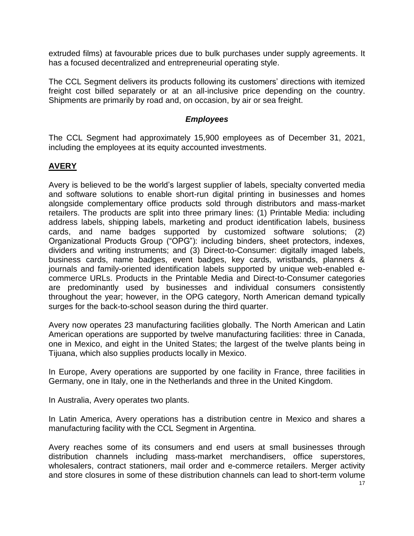extruded films) at favourable prices due to bulk purchases under supply agreements. It has a focused decentralized and entrepreneurial operating style.

The CCL Segment delivers its products following its customers' directions with itemized freight cost billed separately or at an all-inclusive price depending on the country. Shipments are primarily by road and, on occasion, by air or sea freight.

#### *Employees*

The CCL Segment had approximately 15,900 employees as of December 31, 2021, including the employees at its equity accounted investments.

#### **AVERY**

Avery is believed to be the world's largest supplier of labels, specialty converted media and software solutions to enable short-run digital printing in businesses and homes alongside complementary office products sold through distributors and mass-market retailers. The products are split into three primary lines: (1) Printable Media: including address labels, shipping labels, marketing and product identification labels, business cards, and name badges supported by customized software solutions; (2) Organizational Products Group ("OPG"): including binders, sheet protectors, indexes, dividers and writing instruments; and (3) Direct-to-Consumer: digitally imaged labels, business cards, name badges, event badges, key cards, wristbands, planners & journals and family-oriented identification labels supported by unique web-enabled ecommerce URLs. Products in the Printable Media and Direct-to-Consumer categories are predominantly used by businesses and individual consumers consistently throughout the year; however, in the OPG category, North American demand typically surges for the back-to-school season during the third quarter.

Avery now operates 23 manufacturing facilities globally. The North American and Latin American operations are supported by twelve manufacturing facilities: three in Canada, one in Mexico, and eight in the United States; the largest of the twelve plants being in Tijuana, which also supplies products locally in Mexico.

In Europe, Avery operations are supported by one facility in France, three facilities in Germany, one in Italy, one in the Netherlands and three in the United Kingdom.

In Australia, Avery operates two plants.

In Latin America, Avery operations has a distribution centre in Mexico and shares a manufacturing facility with the CCL Segment in Argentina.

Avery reaches some of its consumers and end users at small businesses through distribution channels including mass-market merchandisers, office superstores, wholesalers, contract stationers, mail order and e-commerce retailers. Merger activity and store closures in some of these distribution channels can lead to short-term volume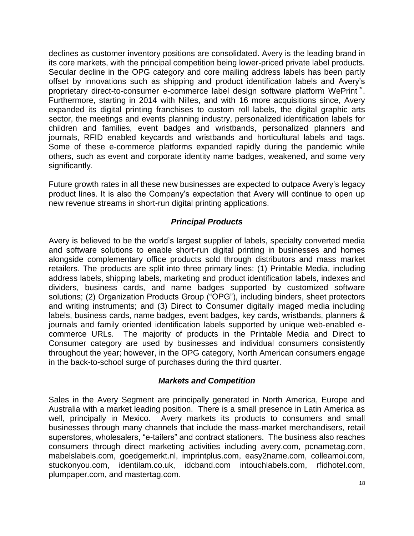declines as customer inventory positions are consolidated. Avery is the leading brand in its core markets, with the principal competition being lower-priced private label products. Secular decline in the OPG category and core mailing address labels has been partly offset by innovations such as shipping and product identification labels and Avery's proprietary direct-to-consumer e-commerce label design software platform WePrint™. Furthermore, starting in 2014 with Nilles, and with 16 more acquisitions since, Avery expanded its digital printing franchises to custom roll labels, the digital graphic arts sector, the meetings and events planning industry, personalized identification labels for children and families, event badges and wristbands, personalized planners and journals, RFID enabled keycards and wristbands and horticultural labels and tags. Some of these e-commerce platforms expanded rapidly during the pandemic while others, such as event and corporate identity name badges, weakened, and some very significantly.

Future growth rates in all these new businesses are expected to outpace Avery's legacy product lines. It is also the Company's expectation that Avery will continue to open up new revenue streams in short-run digital printing applications.

#### *Principal Products*

Avery is believed to be the world's largest supplier of labels, specialty converted media and software solutions to enable short-run digital printing in businesses and homes alongside complementary office products sold through distributors and mass market retailers. The products are split into three primary lines: (1) Printable Media, including address labels, shipping labels, marketing and product identification labels, indexes and dividers, business cards, and name badges supported by customized software solutions; (2) Organization Products Group ("OPG"), including binders, sheet protectors and writing instruments; and (3) Direct to Consumer digitally imaged media including labels, business cards, name badges, event badges, key cards, wristbands, planners & journals and family oriented identification labels supported by unique web-enabled ecommerce URLs. The majority of products in the Printable Media and Direct to Consumer category are used by businesses and individual consumers consistently throughout the year; however, in the OPG category, North American consumers engage in the back-to-school surge of purchases during the third quarter.

#### *Markets and Competition*

Sales in the Avery Segment are principally generated in North America, Europe and Australia with a market leading position. There is a small presence in Latin America as well, principally in Mexico. Avery markets its products to consumers and small businesses through many channels that include the mass-market merchandisers, retail superstores, wholesalers, "e-tailers" and contract stationers. The business also reaches consumers through direct marketing activities including avery.com, pcnametag.com, mabelslabels.com, goedgemerkt.nl, imprintplus.com, easy2name.com, colleamoi.com, stuckonyou.com, identilam.co.uk, idcband.com intouchlabels.com, rfidhotel.com, plumpaper.com, and mastertag.com.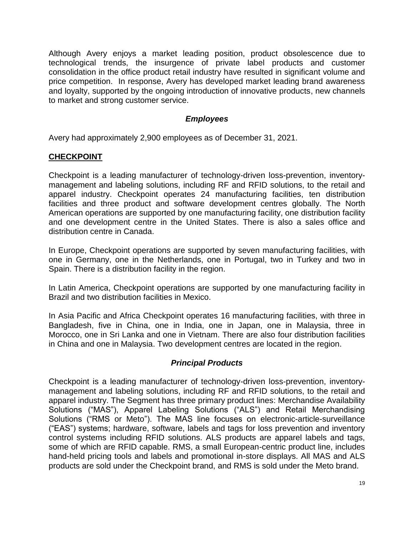Although Avery enjoys a market leading position, product obsolescence due to technological trends, the insurgence of private label products and customer consolidation in the office product retail industry have resulted in significant volume and price competition. In response, Avery has developed market leading brand awareness and loyalty, supported by the ongoing introduction of innovative products, new channels to market and strong customer service.

#### *Employees*

Avery had approximately 2,900 employees as of December 31, 2021.

#### **CHECKPOINT**

Checkpoint is a leading manufacturer of technology-driven loss-prevention, inventorymanagement and labeling solutions, including RF and RFID solutions, to the retail and apparel industry. Checkpoint operates 24 manufacturing facilities, ten distribution facilities and three product and software development centres globally. The North American operations are supported by one manufacturing facility, one distribution facility and one development centre in the United States. There is also a sales office and distribution centre in Canada.

In Europe, Checkpoint operations are supported by seven manufacturing facilities, with one in Germany, one in the Netherlands, one in Portugal, two in Turkey and two in Spain. There is a distribution facility in the region.

In Latin America, Checkpoint operations are supported by one manufacturing facility in Brazil and two distribution facilities in Mexico.

In Asia Pacific and Africa Checkpoint operates 16 manufacturing facilities, with three in Bangladesh, five in China, one in India, one in Japan, one in Malaysia, three in Morocco, one in Sri Lanka and one in Vietnam. There are also four distribution facilities in China and one in Malaysia. Two development centres are located in the region.

#### *Principal Products*

Checkpoint is a leading manufacturer of technology-driven loss-prevention, inventorymanagement and labeling solutions, including RF and RFID solutions, to the retail and apparel industry. The Segment has three primary product lines: Merchandise Availability Solutions ("MAS"), Apparel Labeling Solutions ("ALS") and Retail Merchandising Solutions ("RMS or Meto"). The MAS line focuses on electronic-article-surveillance ("EAS") systems; hardware, software, labels and tags for loss prevention and inventory control systems including RFID solutions. ALS products are apparel labels and tags, some of which are RFID capable. RMS, a small European-centric product line, includes hand-held pricing tools and labels and promotional in-store displays. All MAS and ALS products are sold under the Checkpoint brand, and RMS is sold under the Meto brand.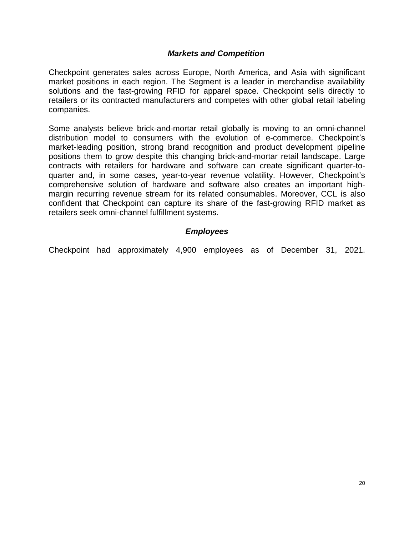#### *Markets and Competition*

Checkpoint generates sales across Europe, North America, and Asia with significant market positions in each region. The Segment is a leader in merchandise availability solutions and the fast-growing RFID for apparel space. Checkpoint sells directly to retailers or its contracted manufacturers and competes with other global retail labeling companies.

Some analysts believe brick-and-mortar retail globally is moving to an omni-channel distribution model to consumers with the evolution of e-commerce. Checkpoint's market-leading position, strong brand recognition and product development pipeline positions them to grow despite this changing brick-and-mortar retail landscape. Large contracts with retailers for hardware and software can create significant quarter-toquarter and, in some cases, year-to-year revenue volatility. However, Checkpoint's comprehensive solution of hardware and software also creates an important highmargin recurring revenue stream for its related consumables. Moreover, CCL is also confident that Checkpoint can capture its share of the fast-growing RFID market as retailers seek omni-channel fulfillment systems.

#### *Employees*

Checkpoint had approximately 4,900 employees as of December 31, 2021.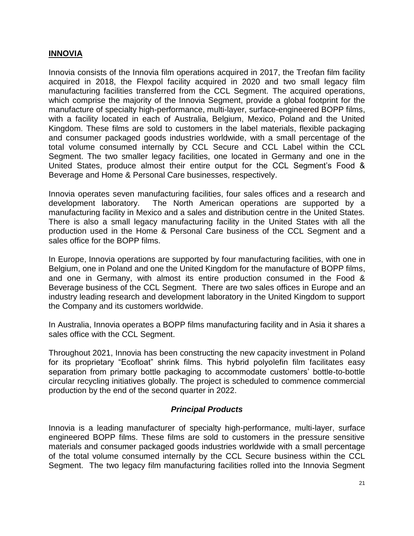#### **INNOVIA**

Innovia consists of the Innovia film operations acquired in 2017, the Treofan film facility acquired in 2018, the Flexpol facility acquired in 2020 and two small legacy film manufacturing facilities transferred from the CCL Segment. The acquired operations, which comprise the majority of the Innovia Segment, provide a global footprint for the manufacture of specialty high-performance, multi-layer, surface-engineered BOPP films, with a facility located in each of Australia, Belgium, Mexico, Poland and the United Kingdom. These films are sold to customers in the label materials, flexible packaging and consumer packaged goods industries worldwide, with a small percentage of the total volume consumed internally by CCL Secure and CCL Label within the CCL Segment. The two smaller legacy facilities, one located in Germany and one in the United States, produce almost their entire output for the CCL Segment's Food & Beverage and Home & Personal Care businesses, respectively.

Innovia operates seven manufacturing facilities, four sales offices and a research and development laboratory. The North American operations are supported by a manufacturing facility in Mexico and a sales and distribution centre in the United States. There is also a small legacy manufacturing facility in the United States with all the production used in the Home & Personal Care business of the CCL Segment and a sales office for the BOPP films.

In Europe, Innovia operations are supported by four manufacturing facilities, with one in Belgium, one in Poland and one the United Kingdom for the manufacture of BOPP films, and one in Germany, with almost its entire production consumed in the Food & Beverage business of the CCL Segment. There are two sales offices in Europe and an industry leading research and development laboratory in the United Kingdom to support the Company and its customers worldwide.

In Australia, Innovia operates a BOPP films manufacturing facility and in Asia it shares a sales office with the CCL Segment.

Throughout 2021, Innovia has been constructing the new capacity investment in Poland for its proprietary "Ecofloat" shrink films. This hybrid polyolefin film facilitates easy separation from primary bottle packaging to accommodate customers' bottle-to-bottle circular recycling initiatives globally. The project is scheduled to commence commercial production by the end of the second quarter in 2022.

#### *Principal Products*

Innovia is a leading manufacturer of specialty high-performance, multi-layer, surface engineered BOPP films. These films are sold to customers in the pressure sensitive materials and consumer packaged goods industries worldwide with a small percentage of the total volume consumed internally by the CCL Secure business within the CCL Segment. The two legacy film manufacturing facilities rolled into the Innovia Segment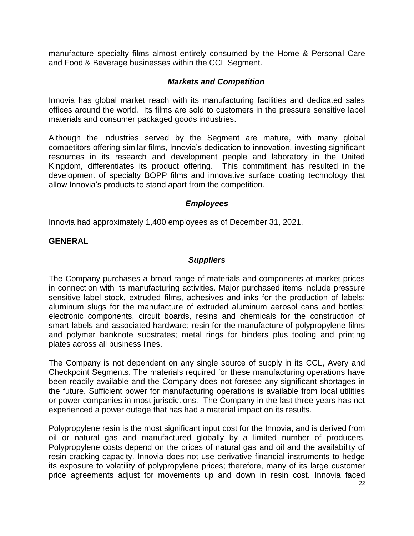manufacture specialty films almost entirely consumed by the Home & Personal Care and Food & Beverage businesses within the CCL Segment.

#### *Markets and Competition*

Innovia has global market reach with its manufacturing facilities and dedicated sales offices around the world. Its films are sold to customers in the pressure sensitive label materials and consumer packaged goods industries.

Although the industries served by the Segment are mature, with many global competitors offering similar films, Innovia's dedication to innovation, investing significant resources in its research and development people and laboratory in the United Kingdom, differentiates its product offering. This commitment has resulted in the development of specialty BOPP films and innovative surface coating technology that allow Innovia's products to stand apart from the competition.

#### *Employees*

Innovia had approximately 1,400 employees as of December 31, 2021.

#### **GENERAL**

#### *Suppliers*

The Company purchases a broad range of materials and components at market prices in connection with its manufacturing activities. Major purchased items include pressure sensitive label stock, extruded films, adhesives and inks for the production of labels; aluminum slugs for the manufacture of extruded aluminum aerosol cans and bottles; electronic components, circuit boards, resins and chemicals for the construction of smart labels and associated hardware; resin for the manufacture of polypropylene films and polymer banknote substrates; metal rings for binders plus tooling and printing plates across all business lines.

The Company is not dependent on any single source of supply in its CCL, Avery and Checkpoint Segments. The materials required for these manufacturing operations have been readily available and the Company does not foresee any significant shortages in the future. Sufficient power for manufacturing operations is available from local utilities or power companies in most jurisdictions. The Company in the last three years has not experienced a power outage that has had a material impact on its results.

Polypropylene resin is the most significant input cost for the Innovia, and is derived from oil or natural gas and manufactured globally by a limited number of producers. Polypropylene costs depend on the prices of natural gas and oil and the availability of resin cracking capacity. Innovia does not use derivative financial instruments to hedge its exposure to volatility of polypropylene prices; therefore, many of its large customer price agreements adjust for movements up and down in resin cost. Innovia faced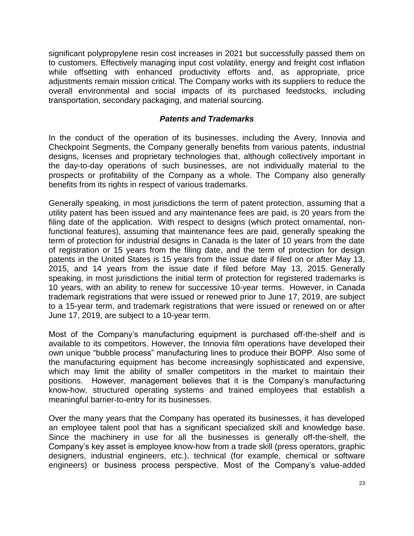significant polypropylene resin cost increases in 2021 but successfully passed them on to customers. Effectively managing input cost volatility, energy and freight cost inflation while offsetting with enhanced productivity efforts and, as appropriate, price adjustments remain mission critical. The Company works with its suppliers to reduce the overall environmental and social impacts of its purchased feedstocks, including transportation, secondary packaging, and material sourcing.

#### *Patents and Trademarks*

In the conduct of the operation of its businesses, including the Avery, Innovia and Checkpoint Segments, the Company generally benefits from various patents, industrial designs, licenses and proprietary technologies that, although collectively important in the day-to-day operations of such businesses, are not individually material to the prospects or profitability of the Company as a whole. The Company also generally benefits from its rights in respect of various trademarks.

Generally speaking, in most jurisdictions the term of patent protection, assuming that a utility patent has been issued and any maintenance fees are paid, is 20 years from the filing date of the application. With respect to designs (which protect ornamental, nonfunctional features), assuming that maintenance fees are paid, generally speaking the term of protection for industrial designs in Canada is the later of 10 years from the date of registration or 15 years from the filing date, and the term of protection for design patents in the United States is 15 years from the issue date if filed on or after May 13, 2015, and 14 years from the issue date if filed before May 13, 2015. Generally speaking, in most jurisdictions the initial term of protection for registered trademarks is 10 years, with an ability to renew for successive 10-year terms. However, in Canada trademark registrations that were issued or renewed prior to June 17, 2019, are subject to a 15-year term, and trademark registrations that were issued or renewed on or after June 17, 2019, are subject to a 10-year term.

Most of the Company's manufacturing equipment is purchased off-the-shelf and is available to its competitors. However, the Innovia film operations have developed their own unique "bubble process" manufacturing lines to produce their BOPP. Also some of the manufacturing equipment has become increasingly sophisticated and expensive, which may limit the ability of smaller competitors in the market to maintain their positions. However, management believes that it is the Company's manufacturing know-how, structured operating systems and trained employees that establish a meaningful barrier-to-entry for its businesses.

Over the many years that the Company has operated its businesses, it has developed an employee talent pool that has a significant specialized skill and knowledge base. Since the machinery in use for all the businesses is generally off-the-shelf, the Company's key asset is employee know-how from a trade skill (press operators, graphic designers, industrial engineers, etc.), technical (for example, chemical or software engineers) or business process perspective. Most of the Company's value-added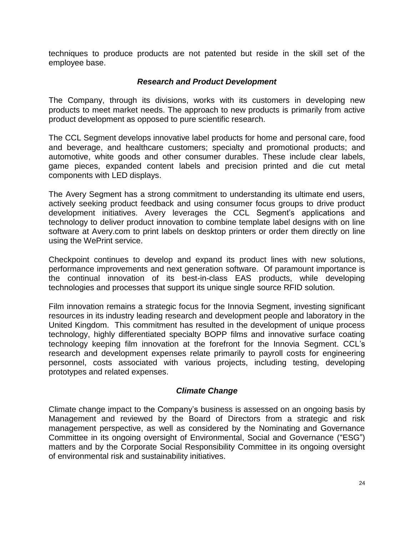techniques to produce products are not patented but reside in the skill set of the employee base.

#### *Research and Product Development*

The Company, through its divisions, works with its customers in developing new products to meet market needs. The approach to new products is primarily from active product development as opposed to pure scientific research.

The CCL Segment develops innovative label products for home and personal care, food and beverage, and healthcare customers; specialty and promotional products; and automotive, white goods and other consumer durables. These include clear labels, game pieces, expanded content labels and precision printed and die cut metal components with LED displays.

The Avery Segment has a strong commitment to understanding its ultimate end users, actively seeking product feedback and using consumer focus groups to drive product development initiatives. Avery leverages the CCL Segment's applications and technology to deliver product innovation to combine template label designs with on line software at Avery.com to print labels on desktop printers or order them directly on line using the WePrint service.

Checkpoint continues to develop and expand its product lines with new solutions, performance improvements and next generation software. Of paramount importance is the continual innovation of its best-in-class EAS products, while developing technologies and processes that support its unique single source RFID solution.

Film innovation remains a strategic focus for the Innovia Segment, investing significant resources in its industry leading research and development people and laboratory in the United Kingdom. This commitment has resulted in the development of unique process technology, highly differentiated specialty BOPP films and innovative surface coating technology keeping film innovation at the forefront for the Innovia Segment. CCL's research and development expenses relate primarily to payroll costs for engineering personnel, costs associated with various projects, including testing, developing prototypes and related expenses.

#### *Climate Change*

Climate change impact to the Company's business is assessed on an ongoing basis by Management and reviewed by the Board of Directors from a strategic and risk management perspective, as well as considered by the Nominating and Governance Committee in its ongoing oversight of Environmental, Social and Governance ("ESG") matters and by the Corporate Social Responsibility Committee in its ongoing oversight of environmental risk and sustainability initiatives.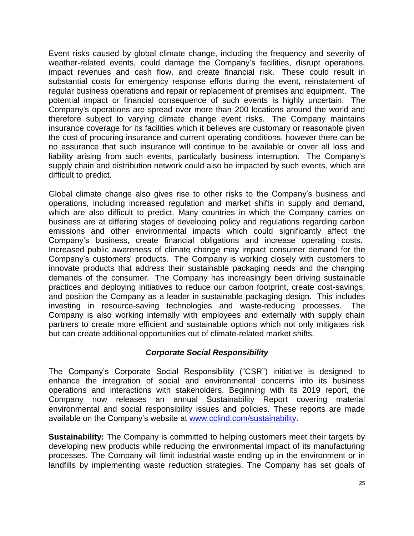Event risks caused by global climate change, including the frequency and severity of weather-related events, could damage the Company's facilities, disrupt operations, impact revenues and cash flow, and create financial risk. These could result in substantial costs for emergency response efforts during the event, reinstatement of regular business operations and repair or replacement of premises and equipment. The potential impact or financial consequence of such events is highly uncertain. The Company's operations are spread over more than 200 locations around the world and therefore subject to varying climate change event risks. The Company maintains insurance coverage for its facilities which it believes are customary or reasonable given the cost of procuring insurance and current operating conditions, however there can be no assurance that such insurance will continue to be available or cover all loss and liability arising from such events, particularly business interruption. The Company's supply chain and distribution network could also be impacted by such events, which are difficult to predict.

Global climate change also gives rise to other risks to the Company's business and operations, including increased regulation and market shifts in supply and demand, which are also difficult to predict. Many countries in which the Company carries on business are at differing stages of developing policy and regulations regarding carbon emissions and other environmental impacts which could significantly affect the Company's business, create financial obligations and increase operating costs. Increased public awareness of climate change may impact consumer demand for the Company's customers' products. The Company is working closely with customers to innovate products that address their sustainable packaging needs and the changing demands of the consumer. The Company has increasingly been driving sustainable practices and deploying initiatives to reduce our carbon footprint, create cost-savings, and position the Company as a leader in sustainable packaging design. This includes investing in resource-saving technologies and waste-reducing processes. The Company is also working internally with employees and externally with supply chain partners to create more efficient and sustainable options which not only mitigates risk but can create additional opportunities out of climate-related market shifts.

#### *Corporate Social Responsibility*

The Company's Corporate Social Responsibility ("CSR") initiative is designed to enhance the integration of social and environmental concerns into its business operations and interactions with stakeholders. Beginning with its 2019 report, the Company now releases an annual Sustainability Report covering material environmental and social responsibility issues and policies. These reports are made available on the Company's website at [www.cclind.com/](http://www.cclind.com/)sustainability.

**Sustainability:** The Company is committed to helping customers meet their targets by developing new products while reducing the environmental impact of its manufacturing processes. The Company will limit industrial waste ending up in the environment or in landfills by implementing waste reduction strategies. The Company has set goals of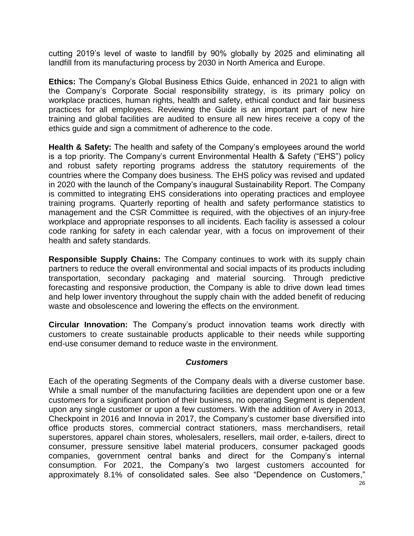cutting 2019's level of waste to landfill by 90% globally by 2025 and eliminating all landfill from its manufacturing process by 2030 in North America and Europe.

**Ethics:** The Company's Global Business Ethics Guide, enhanced in 2021 to align with the Company's Corporate Social responsibility strategy, is its primary policy on workplace practices, human rights, health and safety, ethical conduct and fair business practices for all employees. Reviewing the Guide is an important part of new hire training and global facilities are audited to ensure all new hires receive a copy of the ethics guide and sign a commitment of adherence to the code.

**Health & Safety:** The health and safety of the Company's employees around the world is a top priority. The Company's current Environmental Health & Safety ("EHS") policy and robust safety reporting programs address the statutory requirements of the countries where the Company does business. The EHS policy was revised and updated in 2020 with the launch of the Company's inaugural Sustainability Report. The Company is committed to integrating EHS considerations into operating practices and employee training programs. Quarterly reporting of health and safety performance statistics to management and the CSR Committee is required, with the objectives of an injury-free workplace and appropriate responses to all incidents. Each facility is assessed a colour code ranking for safety in each calendar year, with a focus on improvement of their health and safety standards.

**Responsible Supply Chains:** The Company continues to work with its supply chain partners to reduce the overall environmental and social impacts of its products including transportation, secondary packaging and material sourcing. Through predictive forecasting and responsive production, the Company is able to drive down lead times and help lower inventory throughout the supply chain with the added benefit of reducing waste and obsolescence and lowering the effects on the environment.

**Circular Innovation:** The Company's product innovation teams work directly with customers to create sustainable products applicable to their needs while supporting end-use consumer demand to reduce waste in the environment.

#### *Customers*

Each of the operating Segments of the Company deals with a diverse customer base. While a small number of the manufacturing facilities are dependent upon one or a few customers for a significant portion of their business, no operating Segment is dependent upon any single customer or upon a few customers. With the addition of Avery in 2013, Checkpoint in 2016 and Innovia in 2017, the Company's customer base diversified into office products stores, commercial contract stationers, mass merchandisers, retail superstores, apparel chain stores, wholesalers, resellers, mail order, e-tailers, direct to consumer, pressure sensitive label material producers, consumer packaged goods companies, government central banks and direct for the Company's internal consumption. For 2021, the Company's two largest customers accounted for approximately 8.1% of consolidated sales. See also "Dependence on Customers,"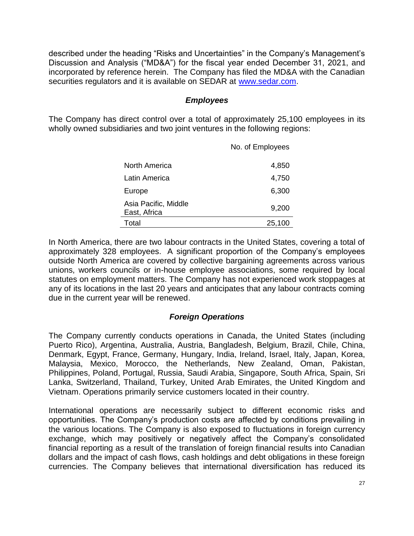described under the heading "Risks and Uncertainties" in the Company's Management's Discussion and Analysis ("MD&A") for the fiscal year ended December 31, 2021, and incorporated by reference herein. The Company has filed the MD&A with the Canadian securities regulators and it is available on SEDAR at [www.sedar.com.](http://www.sedar.com/)

#### *Employees*

The Company has direct control over a total of approximately 25,100 employees in its wholly owned subsidiaries and two joint ventures in the following regions:

|                                      | No. of Employees |
|--------------------------------------|------------------|
| North America                        | 4,850            |
| Latin America                        | 4,750            |
| Europe                               | 6,300            |
| Asia Pacific, Middle<br>East, Africa | 9,200            |
| Total                                | 25,100           |

In North America, there are two labour contracts in the United States, covering a total of approximately 328 employees. A significant proportion of the Company's employees outside North America are covered by collective bargaining agreements across various unions, workers councils or in-house employee associations, some required by local statutes on employment matters. The Company has not experienced work stoppages at any of its locations in the last 20 years and anticipates that any labour contracts coming due in the current year will be renewed.

#### *Foreign Operations*

The Company currently conducts operations in Canada, the United States (including Puerto Rico), Argentina, Australia, Austria, Bangladesh, Belgium, Brazil, Chile, China, Denmark, Egypt, France, Germany, Hungary, India, Ireland, Israel, Italy, Japan, Korea, Malaysia, Mexico, Morocco, the Netherlands, New Zealand, Oman, Pakistan, Philippines, Poland, Portugal, Russia, Saudi Arabia, Singapore, South Africa, Spain, Sri Lanka, Switzerland, Thailand, Turkey, United Arab Emirates, the United Kingdom and Vietnam. Operations primarily service customers located in their country.

International operations are necessarily subject to different economic risks and opportunities. The Company's production costs are affected by conditions prevailing in the various locations. The Company is also exposed to fluctuations in foreign currency exchange, which may positively or negatively affect the Company's consolidated financial reporting as a result of the translation of foreign financial results into Canadian dollars and the impact of cash flows, cash holdings and debt obligations in these foreign currencies. The Company believes that international diversification has reduced its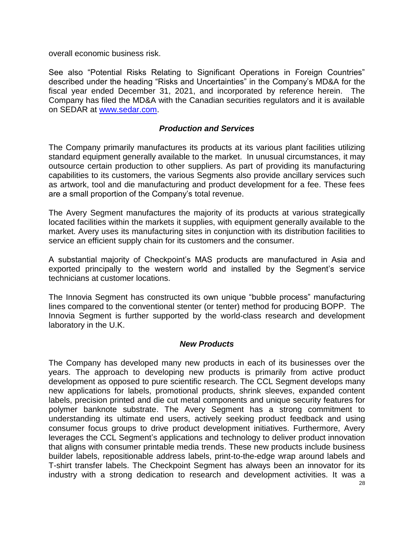overall economic business risk.

See also "Potential Risks Relating to Significant Operations in Foreign Countries" described under the heading "Risks and Uncertainties" in the Company's MD&A for the fiscal year ended December 31, 2021, and incorporated by reference herein. The Company has filed the MD&A with the Canadian securities regulators and it is available on SEDAR at [www.sedar.com.](http://www.sedar.com/)

#### *Production and Services*

The Company primarily manufactures its products at its various plant facilities utilizing standard equipment generally available to the market. In unusual circumstances, it may outsource certain production to other suppliers. As part of providing its manufacturing capabilities to its customers, the various Segments also provide ancillary services such as artwork, tool and die manufacturing and product development for a fee. These fees are a small proportion of the Company's total revenue.

The Avery Segment manufactures the majority of its products at various strategically located facilities within the markets it supplies, with equipment generally available to the market. Avery uses its manufacturing sites in conjunction with its distribution facilities to service an efficient supply chain for its customers and the consumer.

A substantial majority of Checkpoint's MAS products are manufactured in Asia and exported principally to the western world and installed by the Segment's service technicians at customer locations.

The Innovia Segment has constructed its own unique "bubble process" manufacturing lines compared to the conventional stenter (or tenter) method for producing BOPP. The Innovia Segment is further supported by the world-class research and development laboratory in the U.K.

#### *New Products*

The Company has developed many new products in each of its businesses over the years. The approach to developing new products is primarily from active product development as opposed to pure scientific research. The CCL Segment develops many new applications for labels, promotional products, shrink sleeves, expanded content labels, precision printed and die cut metal components and unique security features for polymer banknote substrate. The Avery Segment has a strong commitment to understanding its ultimate end users, actively seeking product feedback and using consumer focus groups to drive product development initiatives. Furthermore, Avery leverages the CCL Segment's applications and technology to deliver product innovation that aligns with consumer printable media trends. These new products include business builder labels, repositionable address labels, print-to-the-edge wrap around labels and T-shirt transfer labels. The Checkpoint Segment has always been an innovator for its industry with a strong dedication to research and development activities. It was a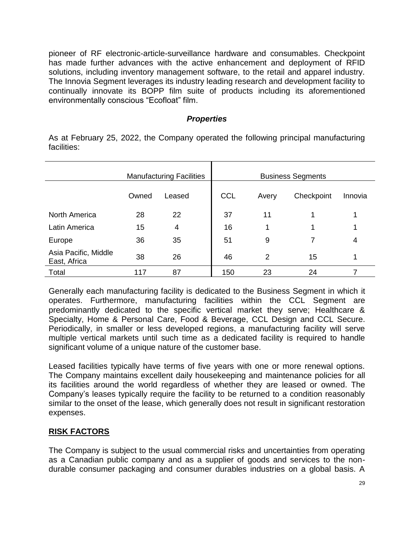pioneer of RF electronic-article-surveillance hardware and consumables. Checkpoint has made further advances with the active enhancement and deployment of RFID solutions, including inventory management software, to the retail and apparel industry. The Innovia Segment leverages its industry leading research and development facility to continually innovate its BOPP film suite of products including its aforementioned environmentally conscious "Ecofloat" film.

#### *Properties*

As at February 25, 2022, the Company operated the following principal manufacturing facilities:

|                                      |       | <b>Manufacturing Facilities</b> |            |       | <b>Business Segments</b> |         |
|--------------------------------------|-------|---------------------------------|------------|-------|--------------------------|---------|
|                                      | Owned | Leased                          | <b>CCL</b> | Avery | Checkpoint               | Innovia |
| North America                        | 28    | 22                              | 37         | 11    |                          |         |
| Latin America                        | 15    | 4                               | 16         | 1     |                          |         |
| Europe                               | 36    | 35                              | 51         | 9     |                          | 4       |
| Asia Pacific, Middle<br>East, Africa | 38    | 26                              | 46         | 2     | 15                       | 1       |
| Total                                |       | 87                              | 150        | 23    | 24                       |         |

Generally each manufacturing facility is dedicated to the Business Segment in which it operates. Furthermore, manufacturing facilities within the CCL Segment are predominantly dedicated to the specific vertical market they serve; Healthcare & Specialty, Home & Personal Care, Food & Beverage, CCL Design and CCL Secure. Periodically, in smaller or less developed regions, a manufacturing facility will serve multiple vertical markets until such time as a dedicated facility is required to handle significant volume of a unique nature of the customer base.

Leased facilities typically have terms of five years with one or more renewal options. The Company maintains excellent daily housekeeping and maintenance policies for all its facilities around the world regardless of whether they are leased or owned. The Company's leases typically require the facility to be returned to a condition reasonably similar to the onset of the lease, which generally does not result in significant restoration expenses.

#### **RISK FACTORS**

The Company is subject to the usual commercial risks and uncertainties from operating as a Canadian public company and as a supplier of goods and services to the nondurable consumer packaging and consumer durables industries on a global basis. A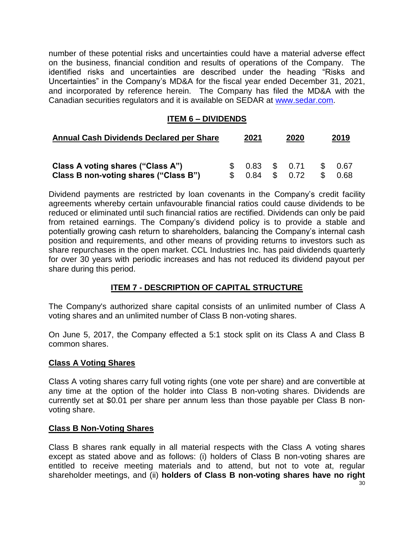number of these potential risks and uncertainties could have a material adverse effect on the business, financial condition and results of operations of the Company. The identified risks and uncertainties are described under the heading "Risks and Uncertainties" in the Company's MD&A for the fiscal year ended December 31, 2021, and incorporated by reference herein. The Company has filed the MD&A with the Canadian securities regulators and it is available on SEDAR at [www.sedar.com.](http://www.sedar.com/)

#### **ITEM 6 – DIVIDENDS**

| <b>Annual Cash Dividends Declared per Share</b>                            | 2021          |              | 2020 |                 | 2019           |              |
|----------------------------------------------------------------------------|---------------|--------------|------|-----------------|----------------|--------------|
| Class A voting shares ("Class A")<br>Class B non-voting shares ("Class B") | $\mathcal{L}$ | 0.83<br>0.84 | - S  | \$ 0.71<br>0.72 | $\mathbb{S}^-$ | 0.67<br>0.68 |

Dividend payments are restricted by loan covenants in the Company's credit facility agreements whereby certain unfavourable financial ratios could cause dividends to be reduced or eliminated until such financial ratios are rectified. Dividends can only be paid from retained earnings. The Company's dividend policy is to provide a stable and potentially growing cash return to shareholders, balancing the Company's internal cash position and requirements, and other means of providing returns to investors such as share repurchases in the open market. CCL Industries Inc. has paid dividends quarterly for over 30 years with periodic increases and has not reduced its dividend payout per share during this period.

#### **ITEM 7 - DESCRIPTION OF CAPITAL STRUCTURE**

The Company's authorized share capital consists of an unlimited number of Class A voting shares and an unlimited number of Class B non-voting shares.

On June 5, 2017, the Company effected a 5:1 stock split on its Class A and Class B common shares.

#### **Class A Voting Shares**

Class A voting shares carry full voting rights (one vote per share) and are convertible at any time at the option of the holder into Class B non-voting shares. Dividends are currently set at \$0.01 per share per annum less than those payable per Class B nonvoting share.

#### **Class B Non-Voting Shares**

Class B shares rank equally in all material respects with the Class A voting shares except as stated above and as follows: (i) holders of Class B non-voting shares are entitled to receive meeting materials and to attend, but not to vote at, regular shareholder meetings, and (ii) **holders of Class B non-voting shares have no right**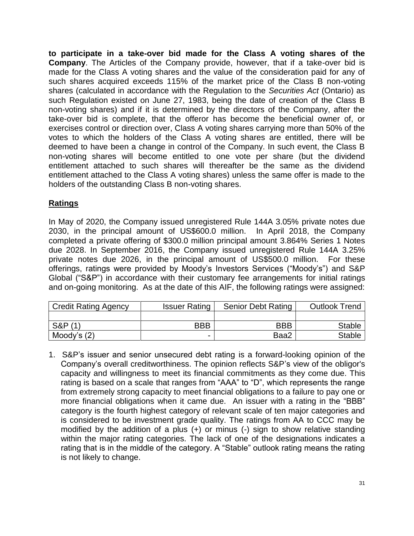**to participate in a take-over bid made for the Class A voting shares of the Company**. The Articles of the Company provide, however, that if a take-over bid is made for the Class A voting shares and the value of the consideration paid for any of such shares acquired exceeds 115% of the market price of the Class B non-voting shares (calculated in accordance with the Regulation to the *Securities Act* (Ontario) as such Regulation existed on June 27, 1983, being the date of creation of the Class B non-voting shares) and if it is determined by the directors of the Company, after the take-over bid is complete, that the offeror has become the beneficial owner of, or exercises control or direction over, Class A voting shares carrying more than 50% of the votes to which the holders of the Class A voting shares are entitled, there will be deemed to have been a change in control of the Company. In such event, the Class B non-voting shares will become entitled to one vote per share (but the dividend entitlement attached to such shares will thereafter be the same as the dividend entitlement attached to the Class A voting shares) unless the same offer is made to the holders of the outstanding Class B non-voting shares.

#### **Ratings**

In May of 2020, the Company issued unregistered Rule 144A 3.05% private notes due 2030, in the principal amount of US\$600.0 million. In April 2018, the Company completed a private offering of \$300.0 million principal amount 3.864% Series 1 Notes due 2028. In September 2016, the Company issued unregistered Rule 144A 3.25% private notes due 2026, in the principal amount of US\$500.0 million. For these offerings, ratings were provided by Moody's Investors Services ("Moody's") and S&P Global ("S&P") in accordance with their customary fee arrangements for initial ratings and on-going monitoring. As at the date of this AIF, the following ratings were assigned:

| <b>Credit Rating Agency</b> | <b>Issuer Rating</b> | <b>Senior Debt Rating</b> | <b>Outlook Trend</b> |
|-----------------------------|----------------------|---------------------------|----------------------|
|                             |                      |                           |                      |
| <b>S&amp;P</b> (1)          | <b>BBB</b>           | <b>BBB</b>                | <b>Stable</b>        |
| Moody's $(2)$               |                      | Baa2                      | <b>Stable</b>        |

1. S&P's issuer and senior unsecured debt rating is a forward-looking opinion of the Company's overall creditworthiness. The opinion reflects S&P's view of the obligor's capacity and willingness to meet its financial commitments as they come due. This rating is based on a scale that ranges from "AAA" to "D", which represents the range from extremely strong capacity to meet financial obligations to a failure to pay one or more financial obligations when it came due. An issuer with a rating in the "BBB" category is the fourth highest category of relevant scale of ten major categories and is considered to be investment grade quality. The ratings from AA to CCC may be modified by the addition of a plus (+) or minus (-) sign to show relative standing within the major rating categories. The lack of one of the designations indicates a rating that is in the middle of the category. A "Stable" outlook rating means the rating is not likely to change.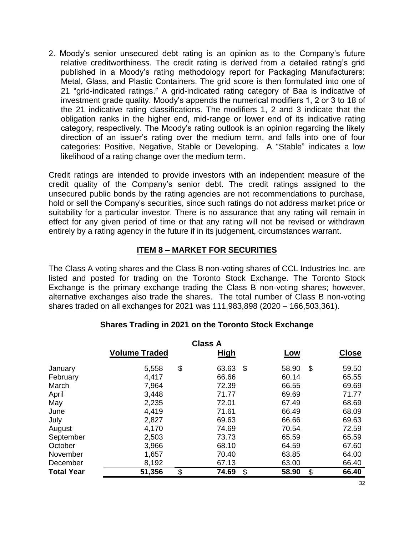2. Moody's senior unsecured debt rating is an opinion as to the Company's future relative creditworthiness. The credit rating is derived from a detailed rating's grid published in a Moody's rating methodology report for Packaging Manufacturers: Metal, Glass, and Plastic Containers. The grid score is then formulated into one of 21 "grid-indicated ratings." A grid-indicated rating category of Baa is indicative of investment grade quality. Moody's appends the numerical modifiers 1, 2 or 3 to 18 of the 21 indicative rating classifications. The modifiers 1, 2 and 3 indicate that the obligation ranks in the higher end, mid-range or lower end of its indicative rating category, respectively. The Moody's rating outlook is an opinion regarding the likely direction of an issuer's rating over the medium term, and falls into one of four categories: Positive, Negative, Stable or Developing. A "Stable" indicates a low likelihood of a rating change over the medium term.

Credit ratings are intended to provide investors with an independent measure of the credit quality of the Company's senior debt. The credit ratings assigned to the unsecured public bonds by the rating agencies are not recommendations to purchase, hold or sell the Company's securities, since such ratings do not address market price or suitability for a particular investor. There is no assurance that any rating will remain in effect for any given period of time or that any rating will not be revised or withdrawn entirely by a rating agency in the future if in its judgement, circumstances warrant.

#### **ITEM 8 – MARKET FOR SECURITIES**

The Class A voting shares and the Class B non-voting shares of CCL Industries Inc. are listed and posted for trading on the Toronto Stock Exchange. The Toronto Stock Exchange is the primary exchange trading the Class B non-voting shares; however, alternative exchanges also trade the shares. The total number of Class B non-voting shares traded on all exchanges for 2021 was 111,983,898 (2020 – 166,503,361).

|                   |                      | <b>Class A</b> |             |              |
|-------------------|----------------------|----------------|-------------|--------------|
|                   | <b>Volume Traded</b> | <u>High</u>    | Low         | <b>Close</b> |
| January           | 5,558                | \$<br>63.63    | \$<br>58.90 | \$<br>59.50  |
| February          | 4,417                | 66.66          | 60.14       | 65.55        |
| March             | 7,964                | 72.39          | 66.55       | 69.69        |
| April             | 3,448                | 71.77          | 69.69       | 71.77        |
| May               | 2,235                | 72.01          | 67.49       | 68.69        |
| June              | 4,419                | 71.61          | 66.49       | 68.09        |
| July              | 2,827                | 69.63          | 66.66       | 69.63        |
| August            | 4,170                | 74.69          | 70.54       | 72.59        |
| September         | 2,503                | 73.73          | 65.59       | 65.59        |
| October           | 3,966                | 68.10          | 64.59       | 67.60        |
| November          | 1,657                | 70.40          | 63.85       | 64.00        |
| December          | 8,192                | 67.13          | 63.00       | 66.40        |
| <b>Total Year</b> | 51,356               | \$<br>74.69    | \$<br>58.90 | \$<br>66.40  |

#### **Shares Trading in 2021 on the Toronto Stock Exchange**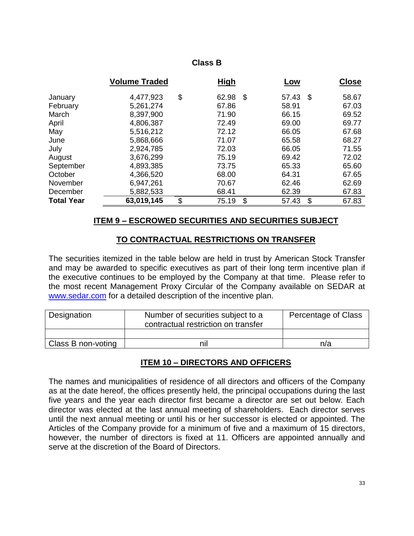#### **Class B**

|                   | <b>Volume Traded</b> | <b>High</b> | Low         |    | <b>Close</b> |
|-------------------|----------------------|-------------|-------------|----|--------------|
| January           | 4,477,923            | \$<br>62.98 | \$<br>57.43 | -S | 58.67        |
| February          | 5,261,274            | 67.86       | 58.91       |    | 67.03        |
| March             | 8,397,900            | 71.90       | 66.15       |    | 69.52        |
| April             | 4,806,387            | 72.49       | 69.00       |    | 69.77        |
| May               | 5,516,212            | 72.12       | 66.05       |    | 67.68        |
| June              | 5,868,666            | 71.07       | 65.58       |    | 68.27        |
| July              | 2,924,785            | 72.03       | 66.05       |    | 71.55        |
| August            | 3,676,299            | 75.19       | 69.42       |    | 72.02        |
| September         | 4,893,385            | 73.75       | 65.33       |    | 65.60        |
| October           | 4,366,520            | 68.00       | 64.31       |    | 67.65        |
| November          | 6,947,261            | 70.67       | 62.46       |    | 62.69        |
| December          | 5,882,533            | 68.41       | 62.39       |    | 67.83        |
| <b>Total Year</b> | 63,019,145           | \$<br>75.19 | \$<br>57.43 | \$ | 67.83        |

#### **ITEM 9 – ESCROWED SECURITIES AND SECURITIES SUBJECT**

#### **TO CONTRACTUAL RESTRICTIONS ON TRANSFER**

The securities itemized in the table below are held in trust by American Stock Transfer and may be awarded to specific executives as part of their long term incentive plan if the executive continues to be employed by the Company at that time. Please refer to the most recent Management Proxy Circular of the Company available on SEDAR at [www.sedar.com](http://www.sedar.com/) for a detailed description of the incentive plan.

| Designation        | Number of securities subject to a<br>contractual restriction on transfer | Percentage of Class |
|--------------------|--------------------------------------------------------------------------|---------------------|
|                    |                                                                          |                     |
| Class B non-voting | nil                                                                      | n/a                 |

#### **ITEM 10 – DIRECTORS AND OFFICERS**

The names and municipalities of residence of all directors and officers of the Company as at the date hereof, the offices presently held, the principal occupations during the last five years and the year each director first became a director are set out below. Each director was elected at the last annual meeting of shareholders. Each director serves until the next annual meeting or until his or her successor is elected or appointed. The Articles of the Company provide for a minimum of five and a maximum of 15 directors, however, the number of directors is fixed at 11. Officers are appointed annually and serve at the discretion of the Board of Directors.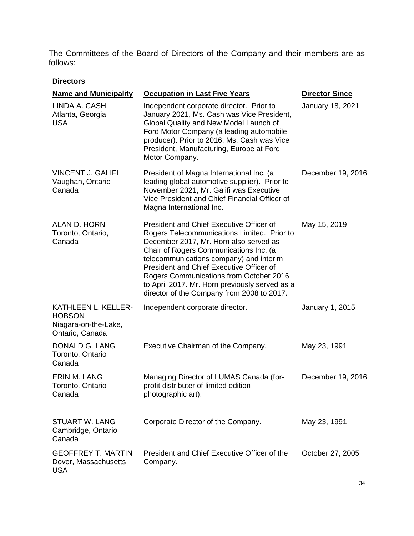The Committees of the Board of Directors of the Company and their members are as follows:

#### **Directors**

| <b>Name and Municipality</b>                                                    | <b>Occupation in Last Five Years</b>                                                                                                                                                                                                                                                                                                                                                                          | <b>Director Since</b> |
|---------------------------------------------------------------------------------|---------------------------------------------------------------------------------------------------------------------------------------------------------------------------------------------------------------------------------------------------------------------------------------------------------------------------------------------------------------------------------------------------------------|-----------------------|
| LINDA A. CASH<br>Atlanta, Georgia<br><b>USA</b>                                 | Independent corporate director. Prior to<br>January 2021, Ms. Cash was Vice President,<br>Global Quality and New Model Launch of<br>Ford Motor Company (a leading automobile<br>producer). Prior to 2016, Ms. Cash was Vice<br>President, Manufacturing, Europe at Ford<br>Motor Company.                                                                                                                     | January 18, 2021      |
| <b>VINCENT J. GALIFI</b><br>Vaughan, Ontario<br>Canada                          | President of Magna International Inc. (a<br>leading global automotive supplier). Prior to<br>November 2021, Mr. Galifi was Executive<br>Vice President and Chief Financial Officer of<br>Magna International Inc.                                                                                                                                                                                             | December 19, 2016     |
| ALAN D. HORN<br>Toronto, Ontario,<br>Canada                                     | President and Chief Executive Officer of<br>Rogers Telecommunications Limited. Prior to<br>December 2017, Mr. Horn also served as<br>Chair of Rogers Communications Inc. (a<br>telecommunications company) and interim<br>President and Chief Executive Officer of<br>Rogers Communications from October 2016<br>to April 2017. Mr. Horn previously served as a<br>director of the Company from 2008 to 2017. | May 15, 2019          |
| KATHLEEN L. KELLER-<br><b>HOBSON</b><br>Niagara-on-the-Lake,<br>Ontario, Canada | Independent corporate director.                                                                                                                                                                                                                                                                                                                                                                               | January 1, 2015       |
| DONALD G. LANG<br>Toronto, Ontario<br>Canada                                    | Executive Chairman of the Company.                                                                                                                                                                                                                                                                                                                                                                            | May 23, 1991          |
| <b>ERIN M. LANG</b><br>Toronto, Ontario<br>Canada                               | Managing Director of LUMAS Canada (for-<br>profit distributer of limited edition<br>photographic art).                                                                                                                                                                                                                                                                                                        | December 19, 2016     |
| <b>STUART W. LANG</b><br>Cambridge, Ontario<br>Canada                           | Corporate Director of the Company.                                                                                                                                                                                                                                                                                                                                                                            | May 23, 1991          |
| <b>GEOFFREY T. MARTIN</b><br>Dover, Massachusetts<br><b>USA</b>                 | President and Chief Executive Officer of the<br>Company.                                                                                                                                                                                                                                                                                                                                                      | October 27, 2005      |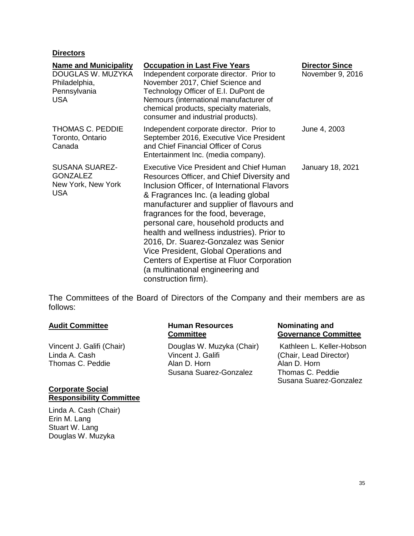#### **Directors**

| <b>Name and Municipality</b><br>DOUGLAS W. MUZYKA<br>Philadelphia,<br>Pennsylvania<br><b>USA</b> | <b>Occupation in Last Five Years</b><br>Independent corporate director. Prior to<br>November 2017, Chief Science and<br>Technology Officer of E.I. DuPont de<br>Nemours (international manufacturer of<br>chemical products, specialty materials,<br>consumer and industrial products).                                                                                                                                                                                                                                                               | <b>Director Since</b><br>November 9, 2016 |
|--------------------------------------------------------------------------------------------------|-------------------------------------------------------------------------------------------------------------------------------------------------------------------------------------------------------------------------------------------------------------------------------------------------------------------------------------------------------------------------------------------------------------------------------------------------------------------------------------------------------------------------------------------------------|-------------------------------------------|
| <b>THOMAS C. PEDDIE</b><br>Toronto, Ontario<br>Canada                                            | Independent corporate director. Prior to<br>September 2016, Executive Vice President<br>and Chief Financial Officer of Corus<br>Entertainment Inc. (media company).                                                                                                                                                                                                                                                                                                                                                                                   | June 4, 2003                              |
| <b>SUSANA SUAREZ-</b><br><b>GONZALEZ</b><br>New York, New York<br><b>USA</b>                     | <b>Executive Vice President and Chief Human</b><br>Resources Officer, and Chief Diversity and<br>Inclusion Officer, of International Flavors<br>& Fragrances Inc. (a leading global<br>manufacturer and supplier of flavours and<br>fragrances for the food, beverage,<br>personal care, household products and<br>health and wellness industries). Prior to<br>2016, Dr. Suarez-Gonzalez was Senior<br>Vice President, Global Operations and<br>Centers of Expertise at Fluor Corporation<br>(a multinational engineering and<br>construction firm). | January 18, 2021                          |

The Committees of the Board of Directors of the Company and their members are as follows:

Vincent J. Galifi (Chair) Linda A. Cash Thomas C. Peddie

#### **Corporate Social Responsibility Committee**

Linda A. Cash (Chair) Erin M. Lang Stuart W. Lang Douglas W. Muzyka

#### **Audit Committee Human Resources Committee**

Douglas W. Muzyka (Chair) Vincent J. Galifi Alan D. Horn Susana Suarez-Gonzalez

#### **Nominating and Governance Committee**

Kathleen L. Keller-Hobson (Chair, Lead Director) Alan D. Horn Thomas C. Peddie Susana Suarez-Gonzalez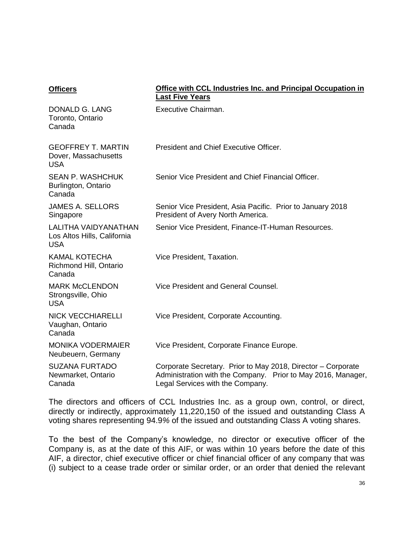#### **Officers Office with CCL Industries Inc. and Principal Occupation in Last Five Years**

| DONALD G. LANG<br>Toronto, Ontario<br>Canada                      | Executive Chairman.                                                                                                                                              |
|-------------------------------------------------------------------|------------------------------------------------------------------------------------------------------------------------------------------------------------------|
| <b>GEOFFREY T. MARTIN</b><br>Dover, Massachusetts<br><b>USA</b>   | President and Chief Executive Officer.                                                                                                                           |
| <b>SEAN P. WASHCHUK</b><br>Burlington, Ontario<br>Canada          | Senior Vice President and Chief Financial Officer.                                                                                                               |
| <b>JAMES A. SELLORS</b><br>Singapore                              | Senior Vice President, Asia Pacific. Prior to January 2018<br>President of Avery North America.                                                                  |
| LALITHA VAIDYANATHAN<br>Los Altos Hills, California<br><b>USA</b> | Senior Vice President, Finance-IT-Human Resources.                                                                                                               |
| <b>KAMAL KOTECHA</b><br>Richmond Hill, Ontario<br>Canada          | Vice President, Taxation.                                                                                                                                        |
| <b>MARK McCLENDON</b><br>Strongsville, Ohio<br><b>USA</b>         | Vice President and General Counsel.                                                                                                                              |
| <b>NICK VECCHIARELLI</b><br>Vaughan, Ontario<br>Canada            | Vice President, Corporate Accounting.                                                                                                                            |
| <b>MONIKA VODERMAIER</b><br>Neubeuern, Germany                    | Vice President, Corporate Finance Europe.                                                                                                                        |
| <b>SUZANA FURTADO</b><br>Newmarket, Ontario<br>Canada             | Corporate Secretary. Prior to May 2018, Director – Corporate<br>Administration with the Company. Prior to May 2016, Manager,<br>Legal Services with the Company. |

The directors and officers of CCL Industries Inc. as a group own, control, or direct, directly or indirectly, approximately 11,220,150 of the issued and outstanding Class A voting shares representing 94.9*%* of the issued and outstanding Class A voting shares.

To the best of the Company's knowledge, no director or executive officer of the Company is, as at the date of this AIF, or was within 10 years before the date of this AIF, a director, chief executive officer or chief financial officer of any company that was (i) subject to a cease trade order or similar order, or an order that denied the relevant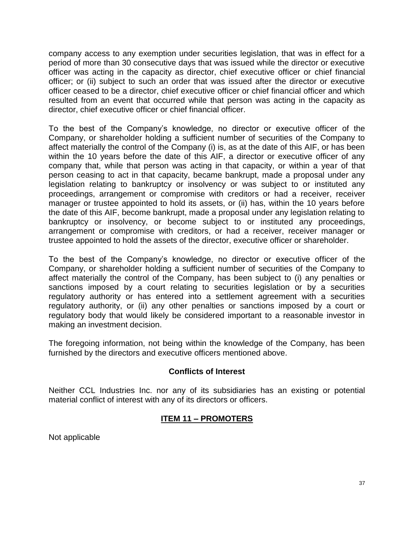company access to any exemption under securities legislation, that was in effect for a period of more than 30 consecutive days that was issued while the director or executive officer was acting in the capacity as director, chief executive officer or chief financial officer; or (ii) subject to such an order that was issued after the director or executive officer ceased to be a director, chief executive officer or chief financial officer and which resulted from an event that occurred while that person was acting in the capacity as director, chief executive officer or chief financial officer.

To the best of the Company's knowledge, no director or executive officer of the Company, or shareholder holding a sufficient number of securities of the Company to affect materially the control of the Company (i) is, as at the date of this AIF, or has been within the 10 years before the date of this AIF, a director or executive officer of any company that, while that person was acting in that capacity, or within a year of that person ceasing to act in that capacity, became bankrupt, made a proposal under any legislation relating to bankruptcy or insolvency or was subject to or instituted any proceedings, arrangement or compromise with creditors or had a receiver, receiver manager or trustee appointed to hold its assets, or (ii) has, within the 10 years before the date of this AIF, become bankrupt, made a proposal under any legislation relating to bankruptcy or insolvency, or become subject to or instituted any proceedings, arrangement or compromise with creditors, or had a receiver, receiver manager or trustee appointed to hold the assets of the director, executive officer or shareholder.

To the best of the Company's knowledge, no director or executive officer of the Company, or shareholder holding a sufficient number of securities of the Company to affect materially the control of the Company, has been subject to (i) any penalties or sanctions imposed by a court relating to securities legislation or by a securities regulatory authority or has entered into a settlement agreement with a securities regulatory authority, or (ii) any other penalties or sanctions imposed by a court or regulatory body that would likely be considered important to a reasonable investor in making an investment decision.

The foregoing information, not being within the knowledge of the Company, has been furnished by the directors and executive officers mentioned above.

#### **Conflicts of Interest**

Neither CCL Industries Inc. nor any of its subsidiaries has an existing or potential material conflict of interest with any of its directors or officers.

#### **ITEM 11 – PROMOTERS**

Not applicable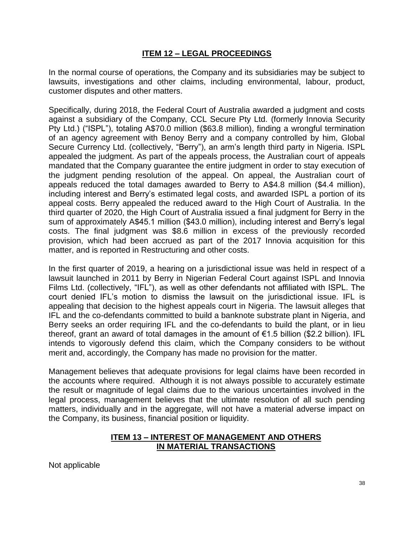#### **ITEM 12 – LEGAL PROCEEDINGS**

In the normal course of operations, the Company and its subsidiaries may be subject to lawsuits, investigations and other claims, including environmental, labour, product, customer disputes and other matters.

Specifically, during 2018, the Federal Court of Australia awarded a judgment and costs against a subsidiary of the Company, CCL Secure Pty Ltd. (formerly Innovia Security Pty Ltd.) ("ISPL"), totaling A\$70.0 million (\$63.8 million), finding a wrongful termination of an agency agreement with Benoy Berry and a company controlled by him, Global Secure Currency Ltd. (collectively, "Berry"), an arm's length third party in Nigeria. ISPL appealed the judgment. As part of the appeals process, the Australian court of appeals mandated that the Company guarantee the entire judgment in order to stay execution of the judgment pending resolution of the appeal. On appeal, the Australian court of appeals reduced the total damages awarded to Berry to A\$4.8 million (\$4.4 million), including interest and Berry's estimated legal costs, and awarded ISPL a portion of its appeal costs. Berry appealed the reduced award to the High Court of Australia. In the third quarter of 2020, the High Court of Australia issued a final judgment for Berry in the sum of approximately A\$45.1 million (\$43.0 million), including interest and Berry's legal costs. The final judgment was \$8.6 million in excess of the previously recorded provision, which had been accrued as part of the 2017 Innovia acquisition for this matter, and is reported in Restructuring and other costs.

In the first quarter of 2019, a hearing on a jurisdictional issue was held in respect of a lawsuit launched in 2011 by Berry in Nigerian Federal Court against ISPL and Innovia Films Ltd. (collectively, "IFL"), as well as other defendants not affiliated with ISPL. The court denied IFL's motion to dismiss the lawsuit on the jurisdictional issue. IFL is appealing that decision to the highest appeals court in Nigeria. The lawsuit alleges that IFL and the co-defendants committed to build a banknote substrate plant in Nigeria, and Berry seeks an order requiring IFL and the co-defendants to build the plant, or in lieu thereof, grant an award of total damages in the amount of €1.5 billion (\$2.2 billion). IFL intends to vigorously defend this claim, which the Company considers to be without merit and, accordingly, the Company has made no provision for the matter.

Management believes that adequate provisions for legal claims have been recorded in the accounts where required. Although it is not always possible to accurately estimate the result or magnitude of legal claims due to the various uncertainties involved in the legal process, management believes that the ultimate resolution of all such pending matters, individually and in the aggregate, will not have a material adverse impact on the Company, its business, financial position or liquidity.

#### **ITEM 13 – INTEREST OF MANAGEMENT AND OTHERS IN MATERIAL TRANSACTIONS**

Not applicable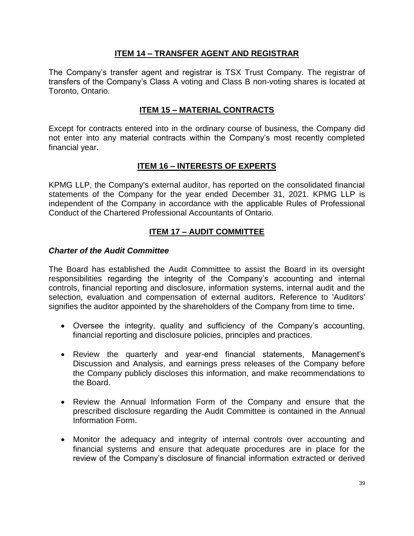#### **ITEM 14 – TRANSFER AGENT AND REGISTRAR**

The Company's transfer agent and registrar is TSX Trust Company. The registrar of transfers of the Company's Class A voting and Class B non-voting shares is located at Toronto, Ontario.

#### **ITEM 15 – MATERIAL CONTRACTS**

Except for contracts entered into in the ordinary course of business, the Company did not enter into any material contracts within the Company's most recently completed financial year.

#### **ITEM 16 – INTERESTS OF EXPERTS**

KPMG LLP, the Company's external auditor, has reported on the consolidated financial statements of the Company for the year ended December 31, 2021. KPMG LLP is independent of the Company in accordance with the applicable Rules of Professional Conduct of the Chartered Professional Accountants of Ontario.

#### **ITEM 17 – AUDIT COMMITTEE**

#### *Charter of the Audit Committee*

The Board has established the Audit Committee to assist the Board in its oversight responsibilities regarding the integrity of the Company's accounting and internal controls, financial reporting and disclosure, information systems, internal audit and the selection, evaluation and compensation of external auditors. Reference to 'Auditors' signifies the auditor appointed by the shareholders of the Company from time to time.

- Oversee the integrity, quality and sufficiency of the Company's accounting, financial reporting and disclosure policies, principles and practices.
- Review the quarterly and year-end financial statements, Management's Discussion and Analysis, and earnings press releases of the Company before the Company publicly discloses this information, and make recommendations to the Board.
- Review the Annual Information Form of the Company and ensure that the prescribed disclosure regarding the Audit Committee is contained in the Annual Information Form.
- Monitor the adequacy and integrity of internal controls over accounting and financial systems and ensure that adequate procedures are in place for the review of the Company's disclosure of financial information extracted or derived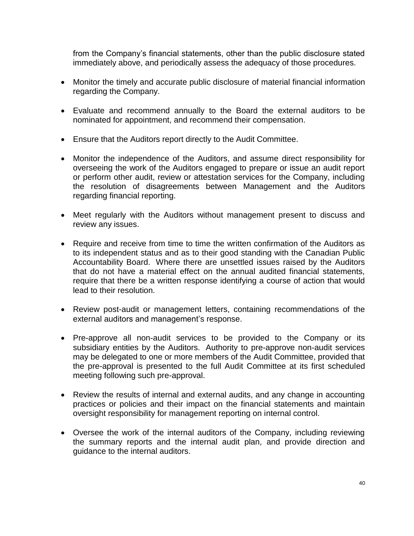from the Company's financial statements, other than the public disclosure stated immediately above, and periodically assess the adequacy of those procedures.

- Monitor the timely and accurate public disclosure of material financial information regarding the Company.
- Evaluate and recommend annually to the Board the external auditors to be nominated for appointment, and recommend their compensation.
- Ensure that the Auditors report directly to the Audit Committee.
- Monitor the independence of the Auditors, and assume direct responsibility for overseeing the work of the Auditors engaged to prepare or issue an audit report or perform other audit, review or attestation services for the Company, including the resolution of disagreements between Management and the Auditors regarding financial reporting.
- Meet regularly with the Auditors without management present to discuss and review any issues.
- Require and receive from time to time the written confirmation of the Auditors as to its independent status and as to their good standing with the Canadian Public Accountability Board. Where there are unsettled issues raised by the Auditors that do not have a material effect on the annual audited financial statements, require that there be a written response identifying a course of action that would lead to their resolution.
- Review post-audit or management letters, containing recommendations of the external auditors and management's response.
- Pre-approve all non-audit services to be provided to the Company or its subsidiary entities by the Auditors. Authority to pre-approve non-audit services may be delegated to one or more members of the Audit Committee, provided that the pre-approval is presented to the full Audit Committee at its first scheduled meeting following such pre-approval.
- Review the results of internal and external audits, and any change in accounting practices or policies and their impact on the financial statements and maintain oversight responsibility for management reporting on internal control.
- Oversee the work of the internal auditors of the Company, including reviewing the summary reports and the internal audit plan, and provide direction and guidance to the internal auditors.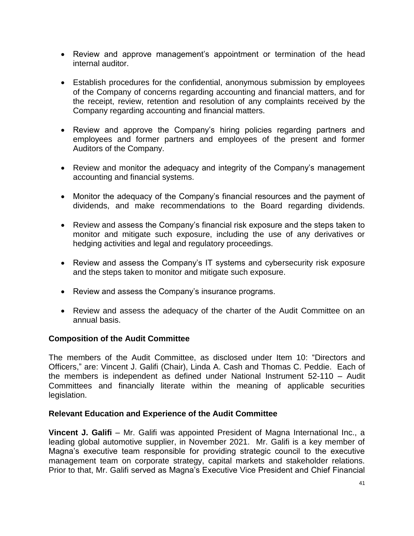- Review and approve management's appointment or termination of the head internal auditor.
- Establish procedures for the confidential, anonymous submission by employees of the Company of concerns regarding accounting and financial matters, and for the receipt, review, retention and resolution of any complaints received by the Company regarding accounting and financial matters.
- Review and approve the Company's hiring policies regarding partners and employees and former partners and employees of the present and former Auditors of the Company.
- Review and monitor the adequacy and integrity of the Company's management accounting and financial systems.
- Monitor the adequacy of the Company's financial resources and the payment of dividends, and make recommendations to the Board regarding dividends.
- Review and assess the Company's financial risk exposure and the steps taken to monitor and mitigate such exposure, including the use of any derivatives or hedging activities and legal and regulatory proceedings.
- Review and assess the Company's IT systems and cybersecurity risk exposure and the steps taken to monitor and mitigate such exposure.
- Review and assess the Company's insurance programs.
- Review and assess the adequacy of the charter of the Audit Committee on an annual basis.

#### **Composition of the Audit Committee**

The members of the Audit Committee, as disclosed under Item 10: "Directors and Officers," are: Vincent J. Galifi (Chair), Linda A. Cash and Thomas C. Peddie. Each of the members is independent as defined under National Instrument 52-110 – Audit Committees and financially literate within the meaning of applicable securities legislation.

#### **Relevant Education and Experience of the Audit Committee**

**Vincent J. Galifi** – Mr. Galifi was appointed President of Magna International Inc., a leading global automotive supplier, in November 2021. Mr. Galifi is a key member of Magna's executive team responsible for providing strategic council to the executive management team on corporate strategy, capital markets and stakeholder relations. Prior to that, Mr. Galifi served as Magna's Executive Vice President and Chief Financial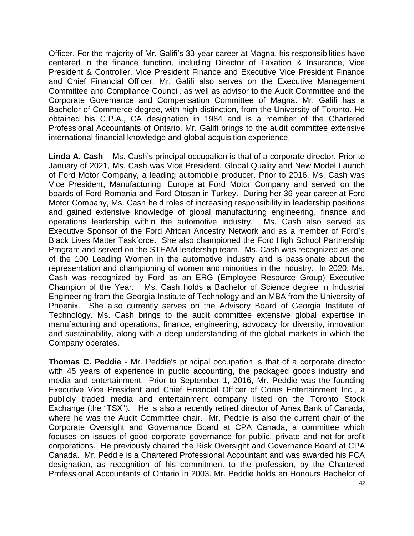Officer. For the majority of Mr. Galifi's 33-year career at Magna, his responsibilities have centered in the finance function, including Director of Taxation & Insurance, Vice President & Controller, Vice President Finance and Executive Vice President Finance and Chief Financial Officer. Mr. Galifi also serves on the Executive Management Committee and Compliance Council, as well as advisor to the Audit Committee and the Corporate Governance and Compensation Committee of Magna. Mr. Galifi has a Bachelor of Commerce degree, with high distinction, from the University of Toronto. He obtained his C.P.A., CA designation in 1984 and is a member of the Chartered Professional Accountants of Ontario. Mr. Galifi brings to the audit committee extensive international financial knowledge and global acquisition experience.

**Linda A. Cash** – Ms. Cash's principal occupation is that of a corporate director. Prior to January of 2021, Ms. Cash was Vice President, Global Quality and New Model Launch of Ford Motor Company, a leading automobile producer. Prior to 2016, Ms. Cash was Vice President, Manufacturing, Europe at Ford Motor Company and served on the boards of Ford Romania and Ford Otosan in Turkey. During her 36-year career at Ford Motor Company, Ms. Cash held roles of increasing responsibility in leadership positions and gained extensive knowledge of global manufacturing engineering, finance and operations leadership within the automotive industry. Ms. Cash also served as Executive Sponsor of the Ford African Ancestry Network and as a member of Ford`s Black Lives Matter Taskforce. She also championed the Ford High School Partnership Program and served on the STEAM leadership team. Ms. Cash was recognized as one of the 100 Leading Women in the automotive industry and is passionate about the representation and championing of women and minorities in the industry. In 2020, Ms. Cash was recognized by Ford as an ERG (Employee Resource Group) Executive Champion of the Year. Ms. Cash holds a Bachelor of Science degree in Industrial Engineering from the Georgia Institute of Technology and an MBA from the University of Phoenix. She also currently serves on the Advisory Board of Georgia Institute of Technology. Ms. Cash brings to the audit committee extensive global expertise in manufacturing and operations, finance, engineering, advocacy for diversity, innovation and sustainability, along with a deep understanding of the global markets in which the Company operates.

**Thomas C. Peddie** - Mr. Peddie's principal occupation is that of a corporate director with 45 years of experience in public accounting, the packaged goods industry and media and entertainment. Prior to September 1, 2016, Mr. Peddie was the founding Executive Vice President and Chief Financial Officer of Corus Entertainment Inc., a publicly traded media and entertainment company listed on the Toronto Stock Exchange (the "TSX"). He is also a recently retired director of Amex Bank of Canada, where he was the Audit Committee chair. Mr. Peddie is also the current chair of the Corporate Oversight and Governance Board at CPA Canada, a committee which focuses on issues of good corporate governance for public, private and not-for-profit corporations. He previously chaired the Risk Oversight and Governance Board at CPA Canada. Mr. Peddie is a Chartered Professional Accountant and was awarded his FCA designation, as recognition of his commitment to the profession, by the Chartered Professional Accountants of Ontario in 2003. Mr. Peddie holds an Honours Bachelor of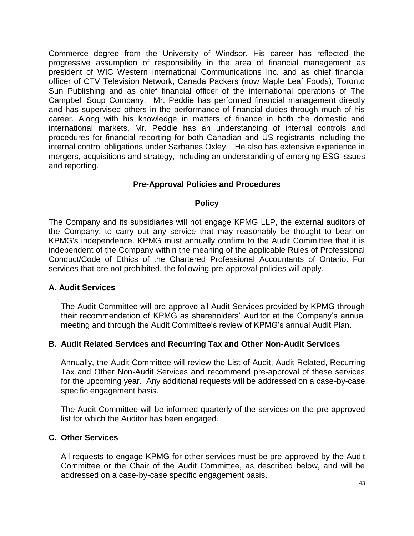Commerce degree from the University of Windsor. His career has reflected the progressive assumption of responsibility in the area of financial management as president of WIC Western International Communications Inc. and as chief financial officer of CTV Television Network, Canada Packers (now Maple Leaf Foods), Toronto Sun Publishing and as chief financial officer of the international operations of The Campbell Soup Company. Mr. Peddie has performed financial management directly and has supervised others in the performance of financial duties through much of his career. Along with his knowledge in matters of finance in both the domestic and international markets, Mr. Peddie has an understanding of internal controls and procedures for financial reporting for both Canadian and US registrants including the internal control obligations under Sarbanes Oxley. He also has extensive experience in mergers, acquisitions and strategy, including an understanding of emerging ESG issues and reporting.

#### **Pre-Approval Policies and Procedures**

#### **Policy**

The Company and its subsidiaries will not engage KPMG LLP, the external auditors of the Company, to carry out any service that may reasonably be thought to bear on KPMG's independence. KPMG must annually confirm to the Audit Committee that it is independent of the Company within the meaning of the applicable Rules of Professional Conduct/Code of Ethics of the Chartered Professional Accountants of Ontario. For services that are not prohibited, the following pre-approval policies will apply.

#### **A. Audit Services**

The Audit Committee will pre-approve all Audit Services provided by KPMG through their recommendation of KPMG as shareholders' Auditor at the Company's annual meeting and through the Audit Committee's review of KPMG's annual Audit Plan.

#### **B. Audit Related Services and Recurring Tax and Other Non-Audit Services**

Annually, the Audit Committee will review the List of Audit, Audit-Related, Recurring Tax and Other Non-Audit Services and recommend pre-approval of these services for the upcoming year. Any additional requests will be addressed on a case-by-case specific engagement basis.

The Audit Committee will be informed quarterly of the services on the pre-approved list for which the Auditor has been engaged.

#### **C. Other Services**

All requests to engage KPMG for other services must be pre-approved by the Audit Committee or the Chair of the Audit Committee, as described below, and will be addressed on a case-by-case specific engagement basis.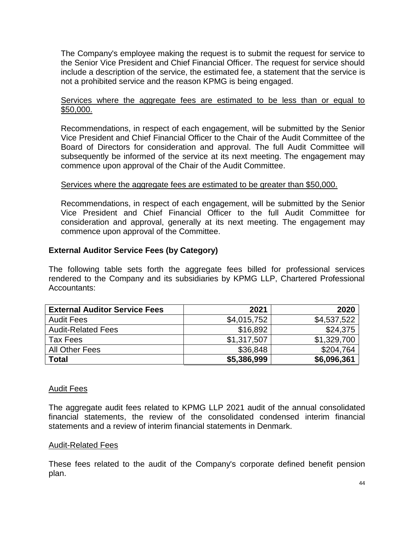The Company's employee making the request is to submit the request for service to the Senior Vice President and Chief Financial Officer. The request for service should include a description of the service, the estimated fee, a statement that the service is not a prohibited service and the reason KPMG is being engaged.

#### Services where the aggregate fees are estimated to be less than or equal to \$50,000.

Recommendations, in respect of each engagement, will be submitted by the Senior Vice President and Chief Financial Officer to the Chair of the Audit Committee of the Board of Directors for consideration and approval. The full Audit Committee will subsequently be informed of the service at its next meeting. The engagement may commence upon approval of the Chair of the Audit Committee.

#### Services where the aggregate fees are estimated to be greater than \$50,000.

Recommendations, in respect of each engagement, will be submitted by the Senior Vice President and Chief Financial Officer to the full Audit Committee for consideration and approval, generally at its next meeting. The engagement may commence upon approval of the Committee.

#### **External Auditor Service Fees (by Category)**

The following table sets forth the aggregate fees billed for professional services rendered to the Company and its subsidiaries by KPMG LLP, Chartered Professional Accountants:

| <b>External Auditor Service Fees</b> | 2021        | 2020        |
|--------------------------------------|-------------|-------------|
| <b>Audit Fees</b>                    | \$4,015,752 | \$4,537,522 |
| <b>Audit-Related Fees</b>            | \$16,892    | \$24,375    |
| Tax Fees                             | \$1,317,507 | \$1,329,700 |
| All Other Fees                       | \$36,848    | \$204,764   |
| <b>Total</b>                         | \$5,386,999 | \$6,096,361 |

#### Audit Fees

The aggregate audit fees related to KPMG LLP 2021 audit of the annual consolidated financial statements, the review of the consolidated condensed interim financial statements and a review of interim financial statements in Denmark.

#### Audit-Related Fees

These fees related to the audit of the Company's corporate defined benefit pension plan.